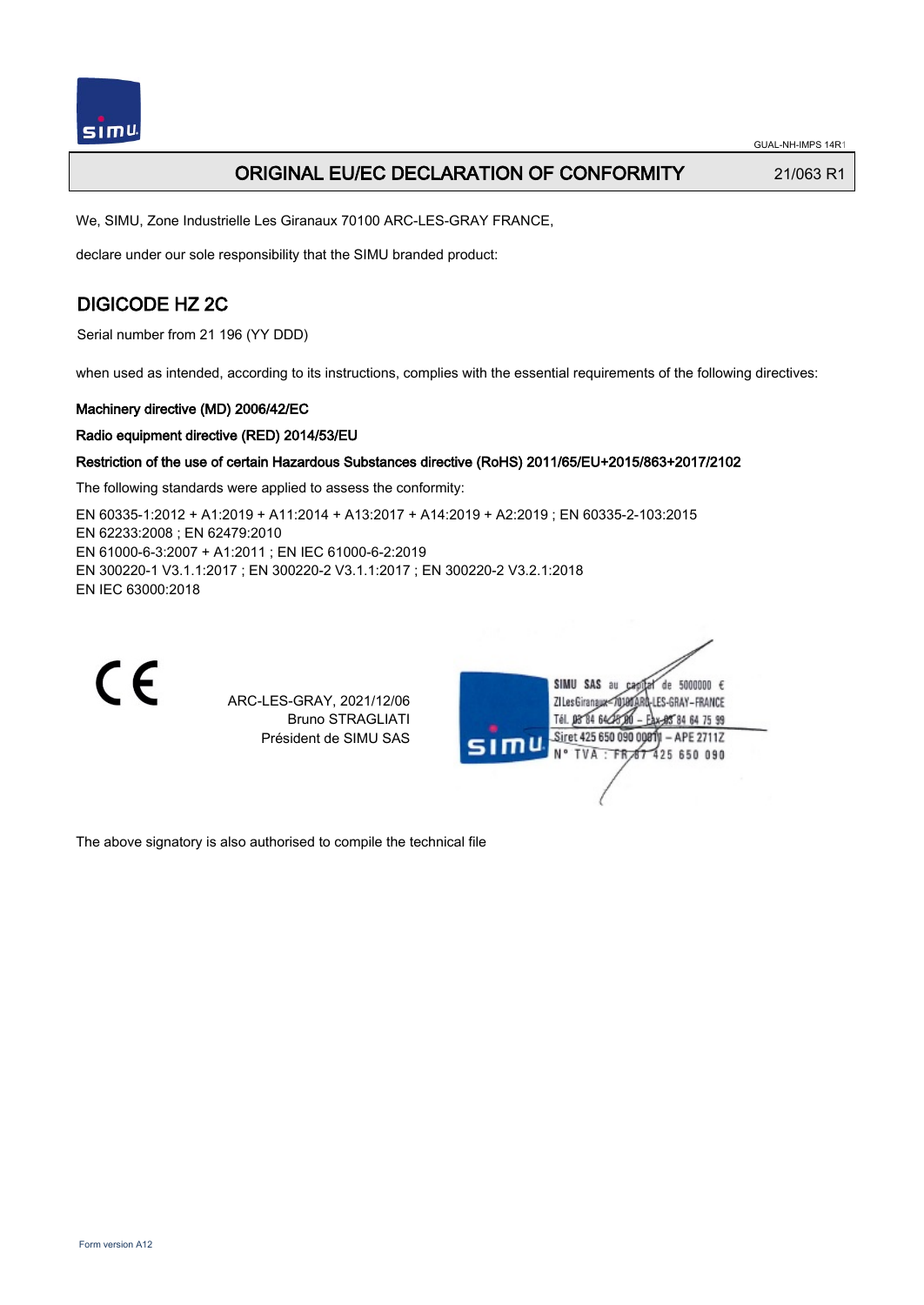

# ORIGINAL EU/EC DECLARATION OF CONFORMITY 21/063 R1

We, SIMU, Zone Industrielle Les Giranaux 70100 ARC-LES-GRAY FRANCE,

declare under our sole responsibility that the SIMU branded product:

# DIGICODE HZ 2C

Serial number from 21 196 (YY DDD)

when used as intended, according to its instructions, complies with the essential requirements of the following directives:

## Machinery directive (MD) 2006/42/EC

## Radio equipment directive (RED) 2014/53/EU

## Restriction of the use of certain Hazardous Substances directive (RoHS) 2011/65/EU+2015/863+2017/2102

The following standards were applied to assess the conformity:

EN 60335‑1:2012 + A1:2019 + A11:2014 + A13:2017 + A14:2019 + A2:2019 ; EN 60335‑2‑103:2015 EN 62233:2008 ; EN 62479:2010 EN 61000‑6‑3:2007 + A1:2011 ; EN IEC 61000‑6‑2:2019 EN 300220‑1 V3.1.1:2017 ; EN 300220‑2 V3.1.1:2017 ; EN 300220‑2 V3.2.1:2018 EN IEC 63000:2018



ARC-LES-GRAY, 2021/12/06 Bruno STRAGLIATI Président de SIMU SAS



The above signatory is also authorised to compile the technical file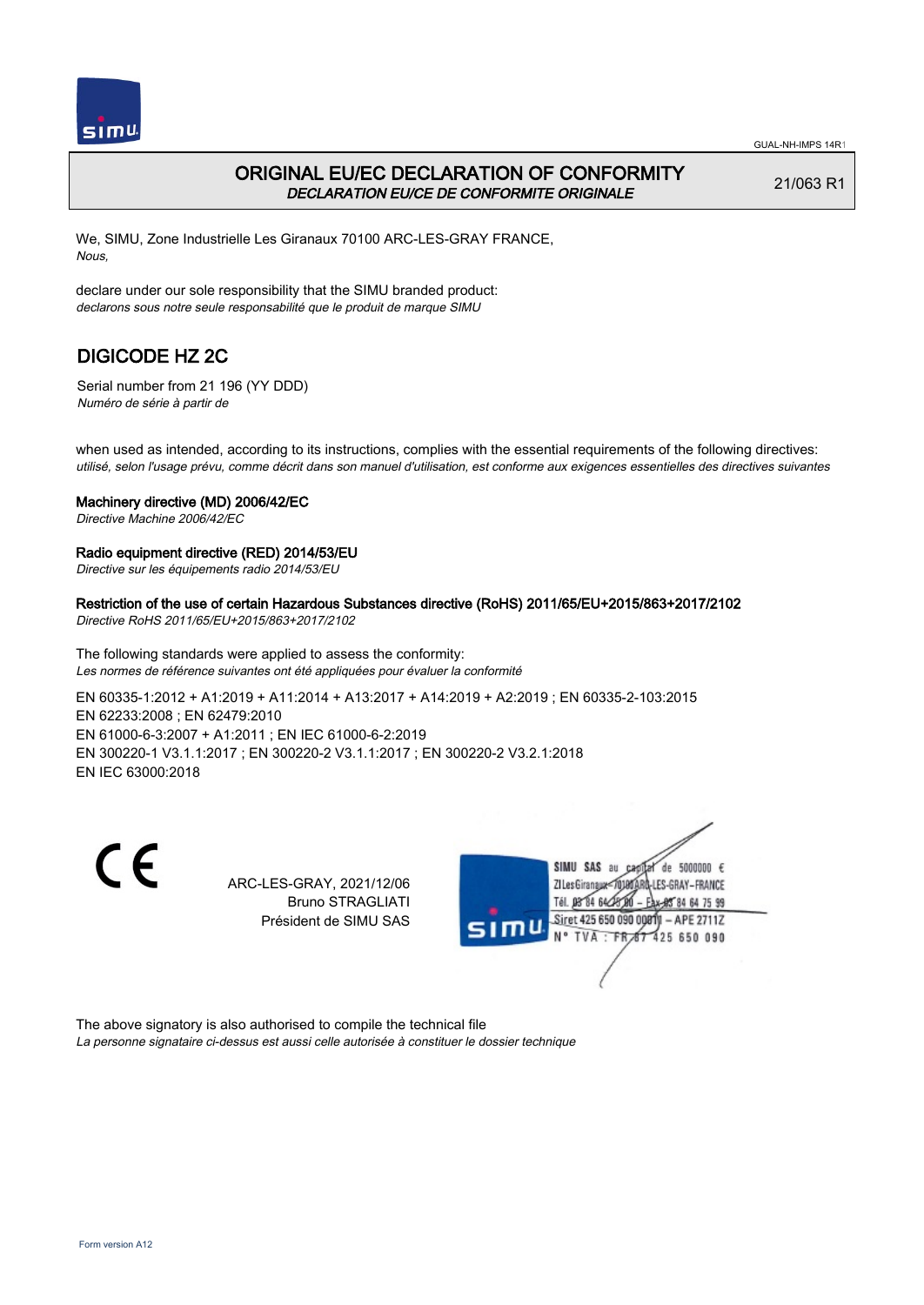

## ORIGINAL EU/EC DECLARATION OF CONFORMITY DECLARATION EU/CE DE CONFORMITE ORIGINALE

21/063 R1

We, SIMU, Zone Industrielle Les Giranaux 70100 ARC-LES-GRAY FRANCE, Nous,

declare under our sole responsibility that the SIMU branded product: declarons sous notre seule responsabilité que le produit de marque SIMU

# DIGICODE HZ 2C

Serial number from 21 196 (YY DDD) Numéro de série à partir de

when used as intended, according to its instructions, complies with the essential requirements of the following directives: utilisé, selon l'usage prévu, comme décrit dans son manuel d'utilisation, est conforme aux exigences essentielles des directives suivantes

### Machinery directive (MD) 2006/42/EC

Directive Machine 2006/42/EC

#### Radio equipment directive (RED) 2014/53/EU

Directive sur les équipements radio 2014/53/EU

### Restriction of the use of certain Hazardous Substances directive (RoHS) 2011/65/EU+2015/863+2017/2102

Directive RoHS 2011/65/EU+2015/863+2017/2102

The following standards were applied to assess the conformity: Les normes de référence suivantes ont été appliquées pour évaluer la conformité

EN 60335‑1:2012 + A1:2019 + A11:2014 + A13:2017 + A14:2019 + A2:2019 ; EN 60335‑2‑103:2015 EN 62233:2008 ; EN 62479:2010 EN 61000‑6‑3:2007 + A1:2011 ; EN IEC 61000‑6‑2:2019 EN 300220‑1 V3.1.1:2017 ; EN 300220‑2 V3.1.1:2017 ; EN 300220‑2 V3.2.1:2018 EN IEC 63000:2018

C E

ARC-LES-GRAY, 2021/12/06 Bruno STRAGLIATI Président de SIMU SAS



The above signatory is also authorised to compile the technical file La personne signataire ci-dessus est aussi celle autorisée à constituer le dossier technique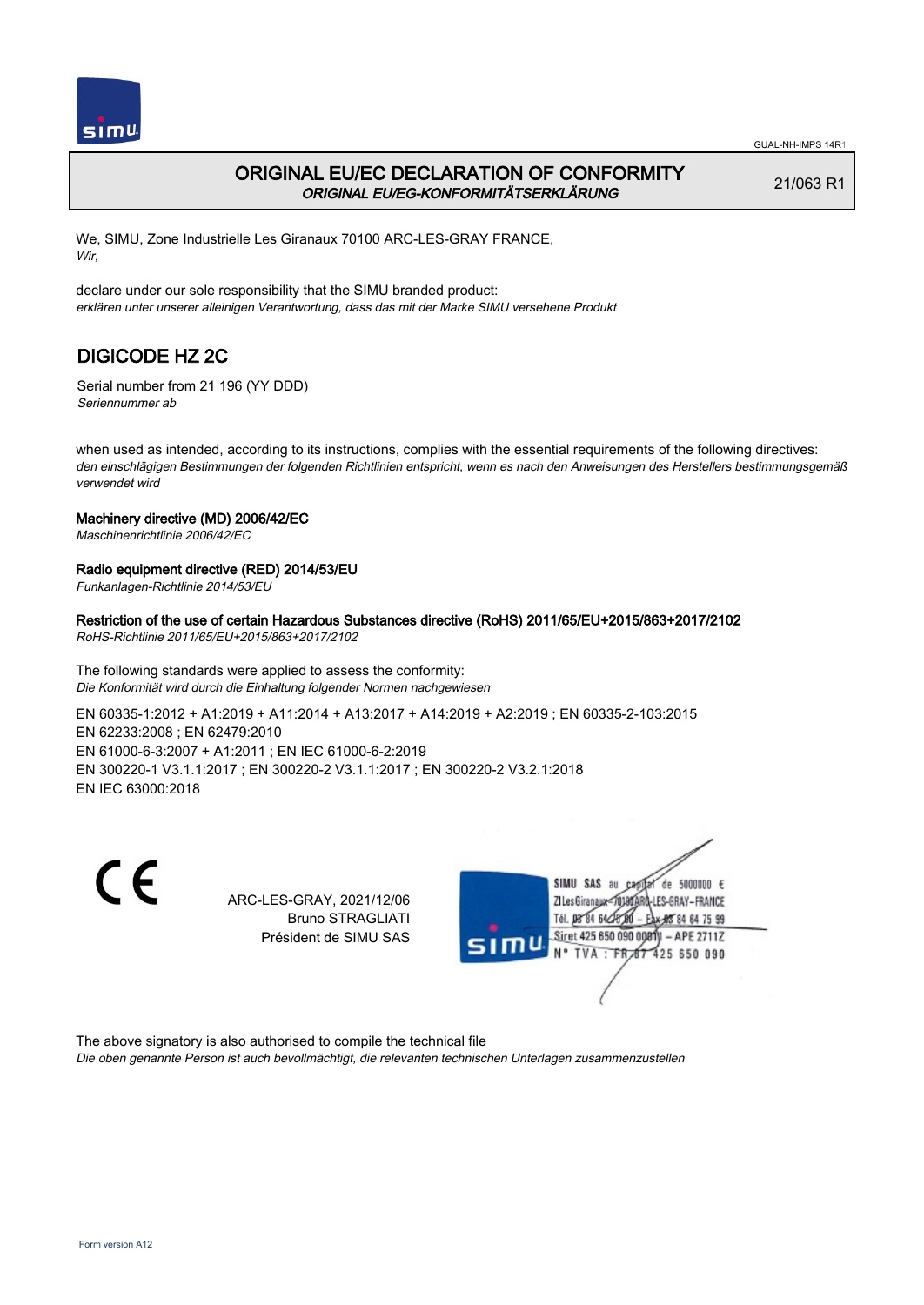

# ORIGINAL EU/EC DECLARATION OF CONFORMITY ORIGINAL EU/EG-KONFORMITÄTSERKLÄRUNG

21/063 R1

We, SIMU, Zone Industrielle Les Giranaux 70100 ARC-LES-GRAY FRANCE, Wir,

declare under our sole responsibility that the SIMU branded product: erklären unter unserer alleinigen Verantwortung, dass das mit der Marke SIMU versehene Produkt

# DIGICODE HZ 2C

Serial number from 21 196 (YY DDD) Seriennummer ab

when used as intended, according to its instructions, complies with the essential requirements of the following directives: den einschlägigen Bestimmungen der folgenden Richtlinien entspricht, wenn es nach den Anweisungen des Herstellers bestimmungsgemäß verwendet wird

## Machinery directive (MD) 2006/42/EC

Maschinenrichtlinie 2006/42/EC

## Radio equipment directive (RED) 2014/53/EU

Funkanlagen-Richtlinie 2014/53/EU

## Restriction of the use of certain Hazardous Substances directive (RoHS) 2011/65/EU+2015/863+2017/2102

RoHS-Richtlinie 2011/65/EU+2015/863+2017/2102

The following standards were applied to assess the conformity: Die Konformität wird durch die Einhaltung folgender Normen nachgewiesen

EN 60335‑1:2012 + A1:2019 + A11:2014 + A13:2017 + A14:2019 + A2:2019 ; EN 60335‑2‑103:2015 EN 62233:2008 ; EN 62479:2010 EN 61000‑6‑3:2007 + A1:2011 ; EN IEC 61000‑6‑2:2019 EN 300220‑1 V3.1.1:2017 ; EN 300220‑2 V3.1.1:2017 ; EN 300220‑2 V3.2.1:2018 EN IEC 63000:2018

CE

ARC-LES-GRAY, 2021/12/06 Bruno STRAGLIATI Président de SIMU SAS



The above signatory is also authorised to compile the technical file

Die oben genannte Person ist auch bevollmächtigt, die relevanten technischen Unterlagen zusammenzustellen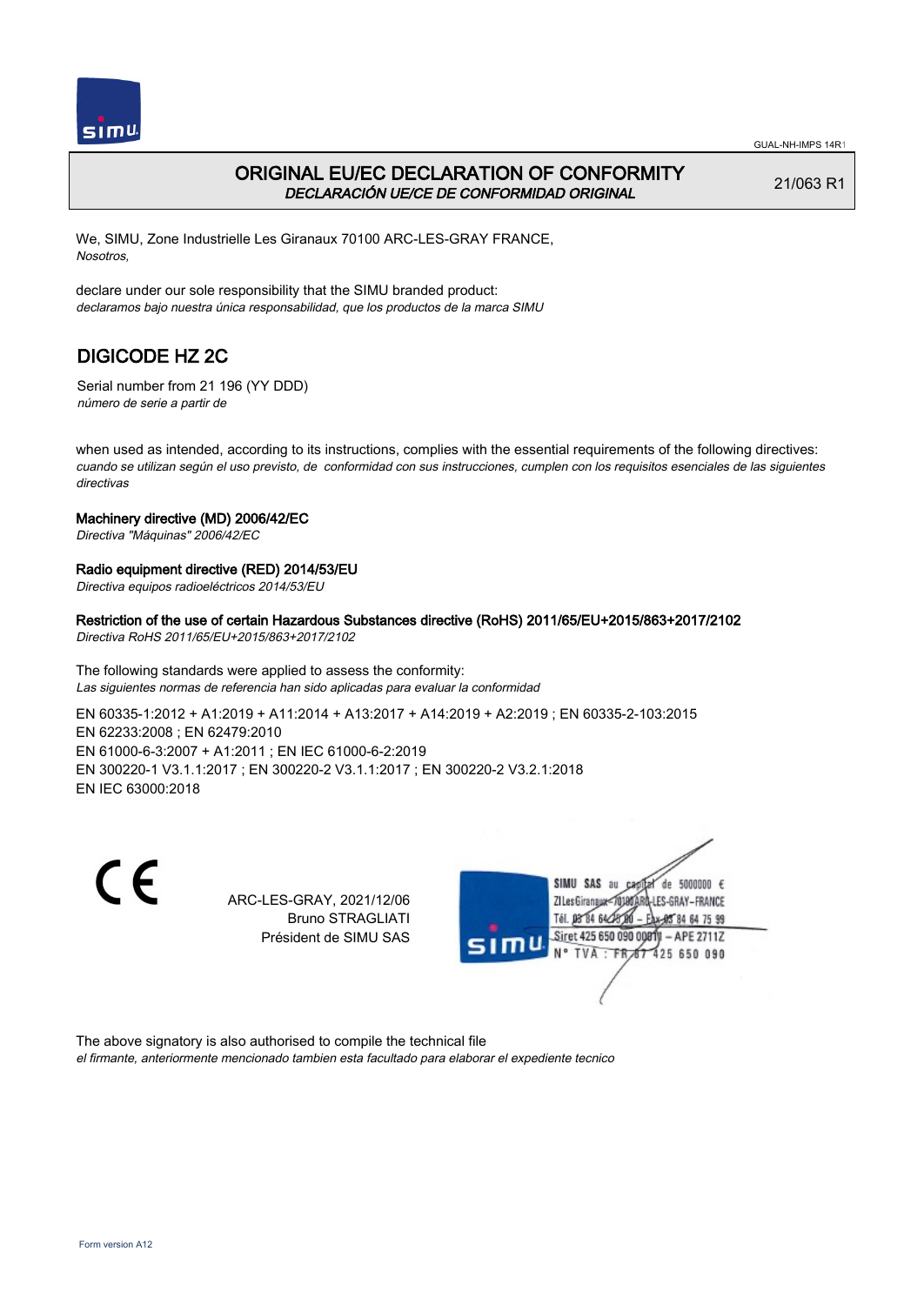

## ORIGINAL EU/EC DECLARATION OF CONFORMITY DECLARACIÓN UE/CE DE CONFORMIDAD ORIGINAL

21/063 R1

We, SIMU, Zone Industrielle Les Giranaux 70100 ARC-LES-GRAY FRANCE, Nosotros,

declare under our sole responsibility that the SIMU branded product: declaramos bajo nuestra única responsabilidad, que los productos de la marca SIMU

# DIGICODE HZ 2C

Serial number from 21 196 (YY DDD) número de serie a partir de

when used as intended, according to its instructions, complies with the essential requirements of the following directives: cuando se utilizan según el uso previsto, de conformidad con sus instrucciones, cumplen con los requisitos esenciales de las siguientes directivas

## Machinery directive (MD) 2006/42/EC

Directiva "Máquinas" 2006/42/EC

## Radio equipment directive (RED) 2014/53/EU

Directiva equipos radioeléctricos 2014/53/EU

### Restriction of the use of certain Hazardous Substances directive (RoHS) 2011/65/EU+2015/863+2017/2102

Directiva RoHS 2011/65/EU+2015/863+2017/2102

The following standards were applied to assess the conformity: Las siguientes normas de referencia han sido aplicadas para evaluar la conformidad

EN 60335‑1:2012 + A1:2019 + A11:2014 + A13:2017 + A14:2019 + A2:2019 ; EN 60335‑2‑103:2015 EN 62233:2008 ; EN 62479:2010 EN 61000‑6‑3:2007 + A1:2011 ; EN IEC 61000‑6‑2:2019 EN 300220‑1 V3.1.1:2017 ; EN 300220‑2 V3.1.1:2017 ; EN 300220‑2 V3.2.1:2018 EN IEC 63000:2018

CE

ARC-LES-GRAY, 2021/12/06 Bruno STRAGLIATI Président de SIMU SAS



The above signatory is also authorised to compile the technical file el firmante, anteriormente mencionado tambien esta facultado para elaborar el expediente tecnico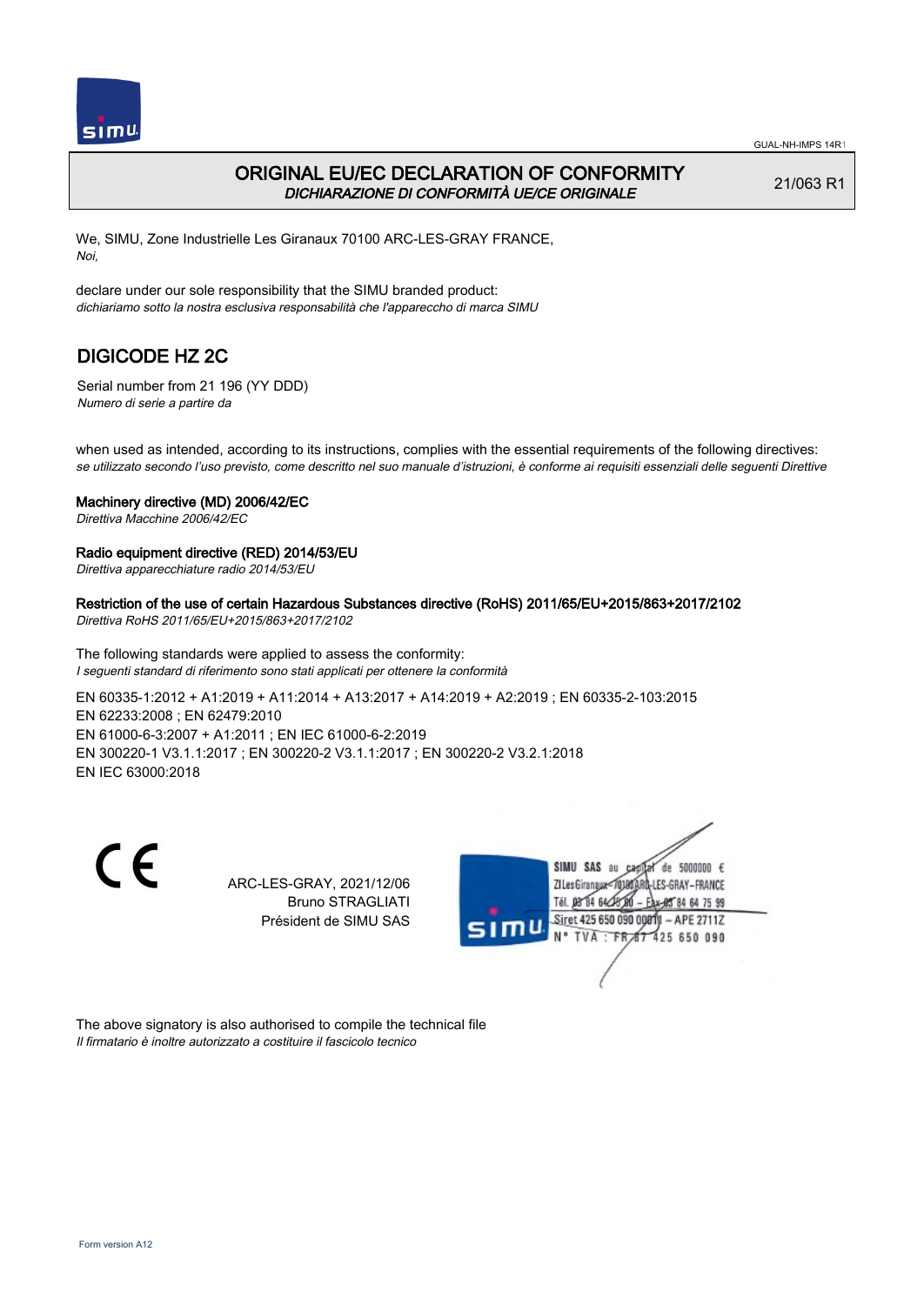

# ORIGINAL EU/EC DECLARATION OF CONFORMITY DICHIARAZIONE DI CONFORMITÀ UE/CE ORIGINALE

21/063 R1

We, SIMU, Zone Industrielle Les Giranaux 70100 ARC-LES-GRAY FRANCE, Noi,

declare under our sole responsibility that the SIMU branded product: dichiariamo sotto la nostra esclusiva responsabilità che l'appareccho di marca SIMU

# DIGICODE HZ 2C

Serial number from 21 196 (YY DDD) Numero di serie a partire da

when used as intended, according to its instructions, complies with the essential requirements of the following directives: se utilizzato secondo l'uso previsto, come descritto nel suo manuale d'istruzioni, è conforme ai requisiti essenziali delle seguenti Direttive

### Machinery directive (MD) 2006/42/EC

Direttiva Macchine 2006/42/EC

### Radio equipment directive (RED) 2014/53/EU

Direttiva apparecchiature radio 2014/53/EU

Restriction of the use of certain Hazardous Substances directive (RoHS) 2011/65/EU+2015/863+2017/2102

Direttiva RoHS 2011/65/EU+2015/863+2017/2102

The following standards were applied to assess the conformity: I seguenti standard di riferimento sono stati applicati per ottenere la conformità

EN 60335‑1:2012 + A1:2019 + A11:2014 + A13:2017 + A14:2019 + A2:2019 ; EN 60335‑2‑103:2015 EN 62233:2008 ; EN 62479:2010 EN 61000‑6‑3:2007 + A1:2011 ; EN IEC 61000‑6‑2:2019 EN 300220‑1 V3.1.1:2017 ; EN 300220‑2 V3.1.1:2017 ; EN 300220‑2 V3.2.1:2018 EN IEC 63000:2018

CE

ARC-LES-GRAY, 2021/12/06 Bruno STRAGLIATI Président de SIMU SAS



The above signatory is also authorised to compile the technical file Il firmatario è inoltre autorizzato a costituire il fascicolo tecnico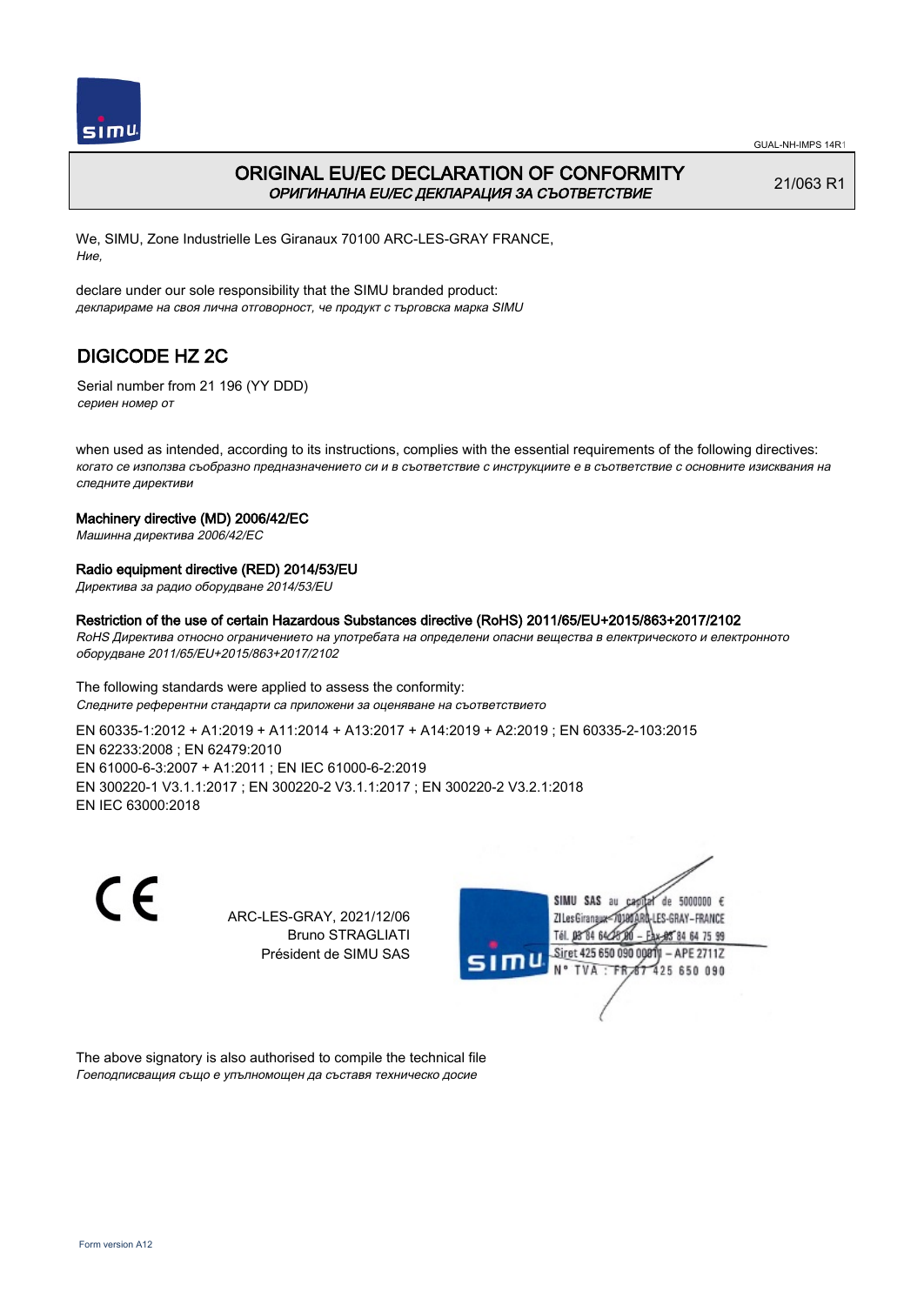

# ORIGINAL EU/EC DECLARATION OF CONFORMITY ОРИГИНАЛНА EU/EC ДЕКЛАРАЦИЯ ЗА СЪОТВЕТСТВИЕ

21/063 R1

We, SIMU, Zone Industrielle Les Giranaux 70100 ARC-LES-GRAY FRANCE, Ние,

declare under our sole responsibility that the SIMU branded product: декларираме на своя лична отговорност, че продукт с търговска марка SIMU

# DIGICODE HZ 2C

Serial number from 21 196 (YY DDD) сериен номер от

when used as intended, according to its instructions, complies with the essential requirements of the following directives: когато се използва съобразно предназначението си и в съответствие с инструкциите е в съответствие с основните изисквания на следните директиви

### Machinery directive (MD) 2006/42/EC

Машинна директива 2006/42/EC

## Radio equipment directive (RED) 2014/53/EU

Директива за радио оборудване 2014/53/EU

### Restriction of the use of certain Hazardous Substances directive (RoHS) 2011/65/EU+2015/863+2017/2102

RoHS Директива относно ограничението на употребата на определени опасни вещества в електрическото и електронното оборудване 2011/65/EU+2015/863+2017/2102

The following standards were applied to assess the conformity: Следните референтни стандарти са приложени за оценяване на съответствието EN 60335‑1:2012 + A1:2019 + A11:2014 + A13:2017 + A14:2019 + A2:2019 ; EN 60335‑2‑103:2015 EN 62233:2008 ; EN 62479:2010 EN 61000‑6‑3:2007 + A1:2011 ; EN IEC 61000‑6‑2:2019 EN 300220‑1 V3.1.1:2017 ; EN 300220‑2 V3.1.1:2017 ; EN 300220‑2 V3.2.1:2018 EN IEC 63000:2018

 $\epsilon$ 

ARC-LES-GRAY, 2021/12/06 Bruno STRAGLIATI Président de SIMU SAS



The above signatory is also authorised to compile the technical file Гоеподписващия също е упълномощен да съставя техническо досие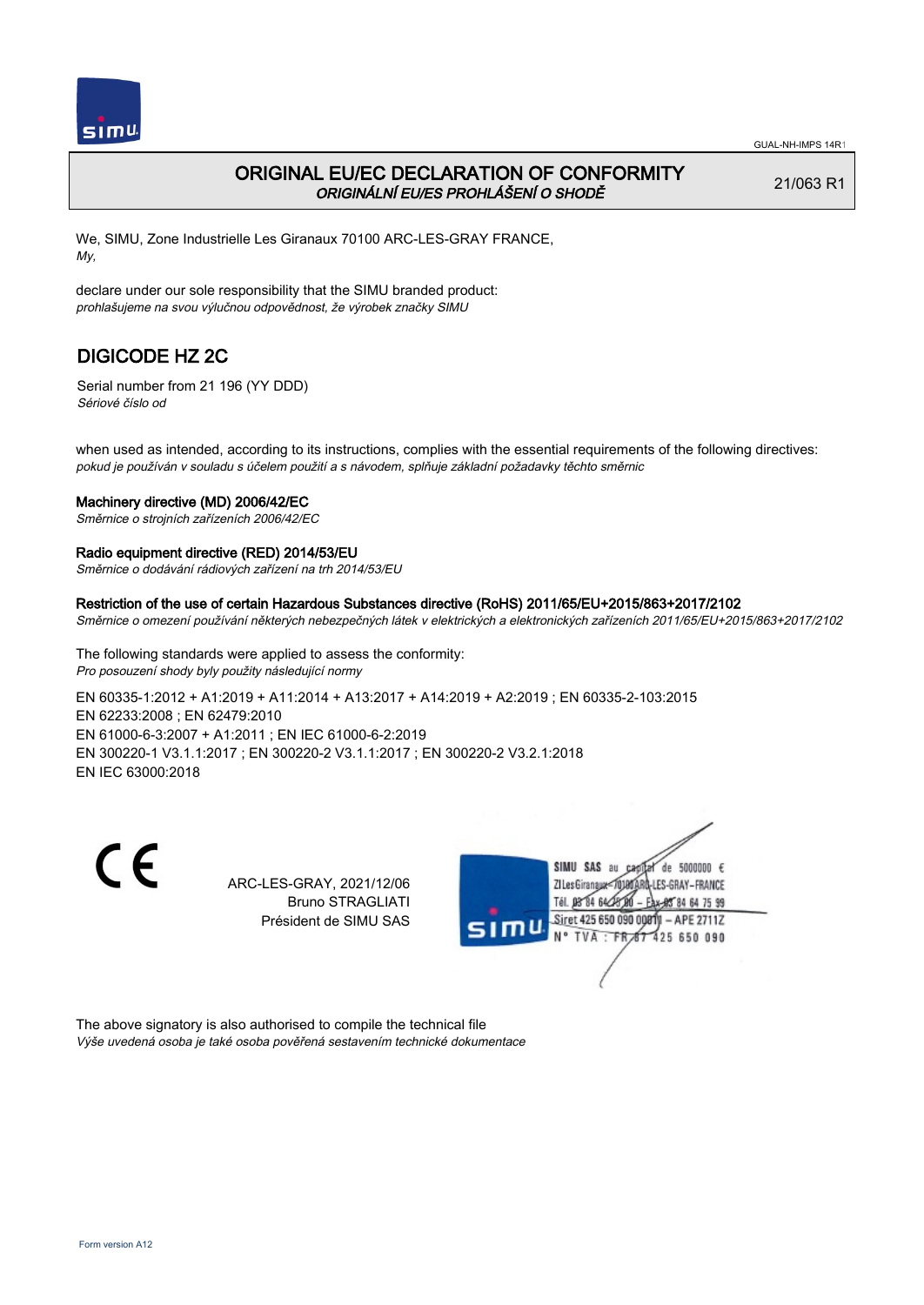

## ORIGINAL EU/EC DECLARATION OF CONFORMITY ORIGINÁLNÍ EU/ES PROHLÁŠENÍ O SHODĚ

21/063 R1

We, SIMU, Zone Industrielle Les Giranaux 70100 ARC-LES-GRAY FRANCE, My,

declare under our sole responsibility that the SIMU branded product: prohlašujeme na svou výlučnou odpovědnost, že výrobek značky SIMU

# DIGICODE HZ 2C

Serial number from 21 196 (YY DDD) Sériové číslo od

when used as intended, according to its instructions, complies with the essential requirements of the following directives: pokud je používán v souladu s účelem použití a s návodem, splňuje základní požadavky těchto směrnic

### Machinery directive (MD) 2006/42/EC

Směrnice o strojních zařízeních 2006/42/EC

### Radio equipment directive (RED) 2014/53/EU

Směrnice o dodávání rádiových zařízení na trh 2014/53/EU

#### Restriction of the use of certain Hazardous Substances directive (RoHS) 2011/65/EU+2015/863+2017/2102

Směrnice o omezení používání některých nebezpečných látek v elektrických a elektronických zařízeních 2011/65/EU+2015/863+2017/2102

The following standards were applied to assess the conformity: Pro posouzení shody byly použity následující normy

EN 60335‑1:2012 + A1:2019 + A11:2014 + A13:2017 + A14:2019 + A2:2019 ; EN 60335‑2‑103:2015 EN 62233:2008 ; EN 62479:2010 EN 61000‑6‑3:2007 + A1:2011 ; EN IEC 61000‑6‑2:2019 EN 300220‑1 V3.1.1:2017 ; EN 300220‑2 V3.1.1:2017 ; EN 300220‑2 V3.2.1:2018 EN IEC 63000:2018

C E

ARC-LES-GRAY, 2021/12/06 Bruno STRAGLIATI Président de SIMU SAS



The above signatory is also authorised to compile the technical file Výše uvedená osoba je také osoba pověřená sestavením technické dokumentace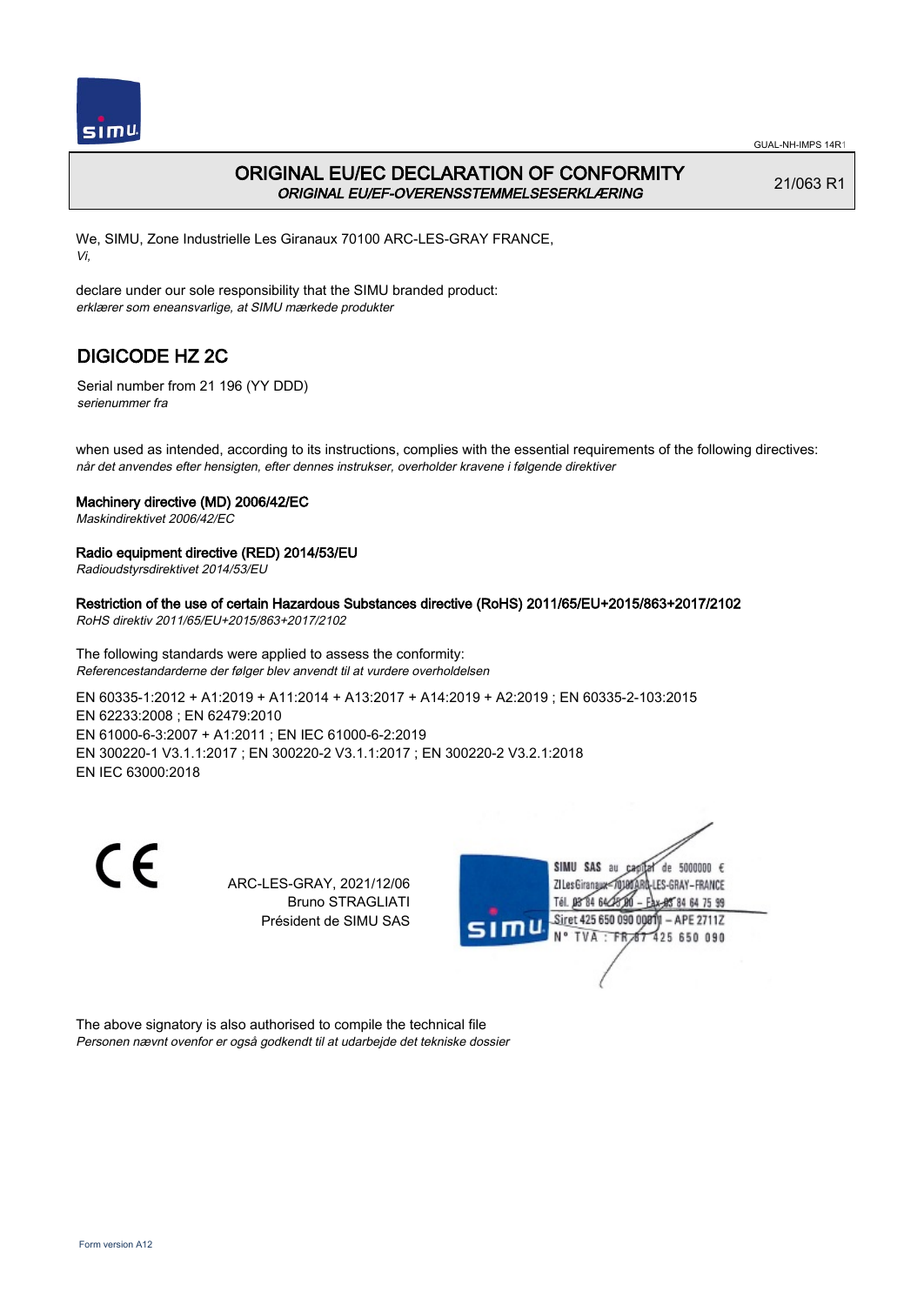

# ORIGINAL EU/EC DECLARATION OF CONFORMITY ORIGINAL EU/EF-OVERENSSTEMMELSESERKLÆRING

21/063 R1

We, SIMU, Zone Industrielle Les Giranaux 70100 ARC-LES-GRAY FRANCE, Vi,

declare under our sole responsibility that the SIMU branded product: erklærer som eneansvarlige, at SIMU mærkede produkter

# DIGICODE HZ 2C

Serial number from 21 196 (YY DDD) serienummer fra

when used as intended, according to its instructions, complies with the essential requirements of the following directives: når det anvendes efter hensigten, efter dennes instrukser, overholder kravene i følgende direktiver

## Machinery directive (MD) 2006/42/EC

Maskindirektivet 2006/42/EC

## Radio equipment directive (RED) 2014/53/EU

Radioudstyrsdirektivet 2014/53/EU

## Restriction of the use of certain Hazardous Substances directive (RoHS) 2011/65/EU+2015/863+2017/2102

RoHS direktiv 2011/65/EU+2015/863+2017/2102

The following standards were applied to assess the conformity: Referencestandarderne der følger blev anvendt til at vurdere overholdelsen

EN 60335‑1:2012 + A1:2019 + A11:2014 + A13:2017 + A14:2019 + A2:2019 ; EN 60335‑2‑103:2015 EN 62233:2008 ; EN 62479:2010 EN 61000‑6‑3:2007 + A1:2011 ; EN IEC 61000‑6‑2:2019 EN 300220‑1 V3.1.1:2017 ; EN 300220‑2 V3.1.1:2017 ; EN 300220‑2 V3.2.1:2018 EN IEC 63000:2018

 $\epsilon$ 

ARC-LES-GRAY, 2021/12/06 Bruno STRAGLIATI Président de SIMU SAS



The above signatory is also authorised to compile the technical file Personen nævnt ovenfor er også godkendt til at udarbejde det tekniske dossier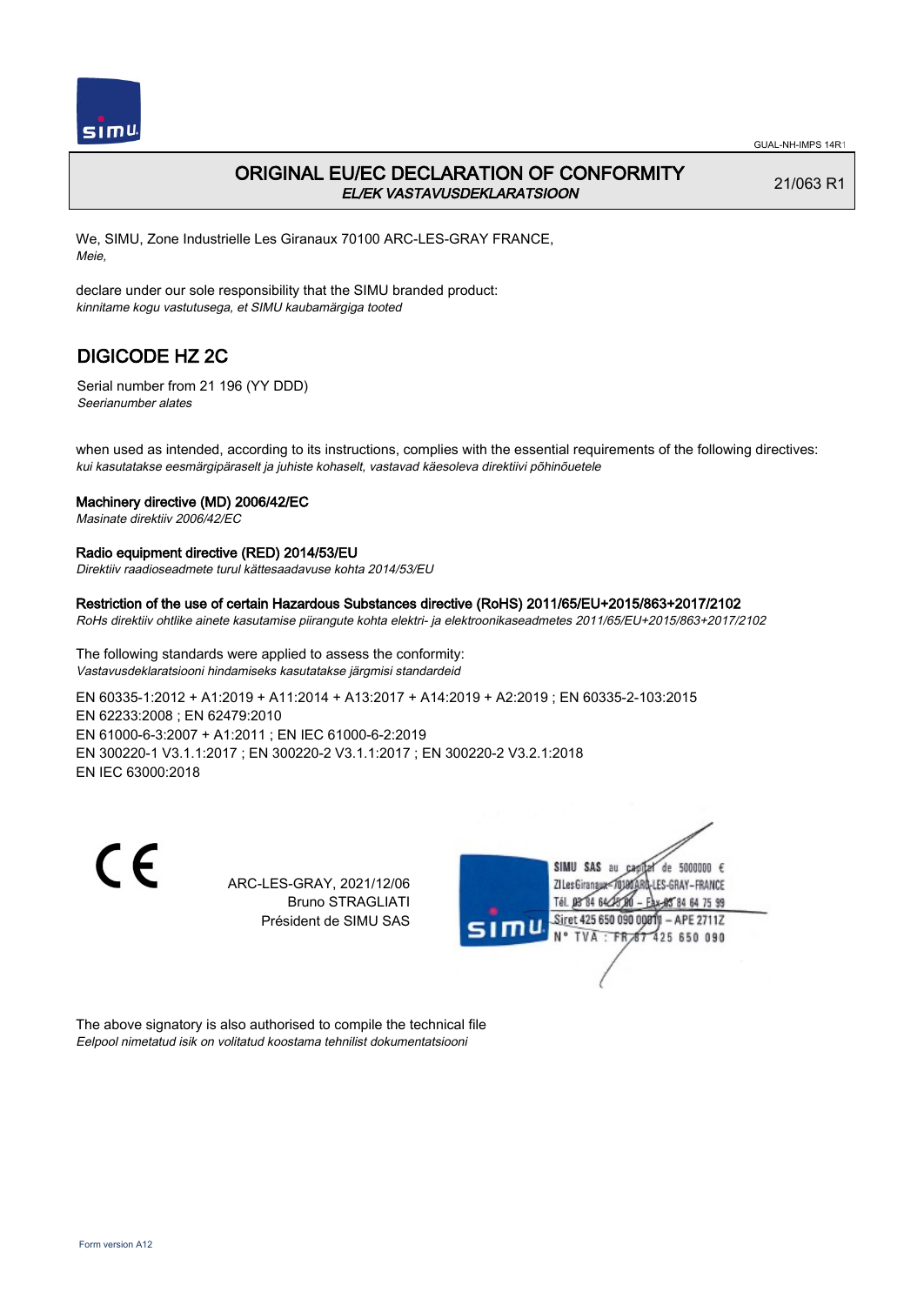

## ORIGINAL EU/EC DECLARATION OF CONFORMITY EL/EK VASTAVUSDEKLARATSIOON

21/063 R1

We, SIMU, Zone Industrielle Les Giranaux 70100 ARC-LES-GRAY FRANCE, Meie,

declare under our sole responsibility that the SIMU branded product: kinnitame kogu vastutusega, et SIMU kaubamärgiga tooted

# DIGICODE HZ 2C

Serial number from 21 196 (YY DDD) Seerianumber alates

when used as intended, according to its instructions, complies with the essential requirements of the following directives: kui kasutatakse eesmärgipäraselt ja juhiste kohaselt, vastavad käesoleva direktiivi põhinõuetele

### Machinery directive (MD) 2006/42/EC

Masinate direktiiv 2006/42/EC

#### Radio equipment directive (RED) 2014/53/EU

Direktiiv raadioseadmete turul kättesaadavuse kohta 2014/53/EU

#### Restriction of the use of certain Hazardous Substances directive (RoHS) 2011/65/EU+2015/863+2017/2102

RoHs direktiiv ohtlike ainete kasutamise piirangute kohta elektri- ja elektroonikaseadmetes 2011/65/EU+2015/863+2017/2102

The following standards were applied to assess the conformity: Vastavusdeklaratsiooni hindamiseks kasutatakse järgmisi standardeid

EN 60335‑1:2012 + A1:2019 + A11:2014 + A13:2017 + A14:2019 + A2:2019 ; EN 60335‑2‑103:2015 EN 62233:2008 ; EN 62479:2010 EN 61000‑6‑3:2007 + A1:2011 ; EN IEC 61000‑6‑2:2019 EN 300220‑1 V3.1.1:2017 ; EN 300220‑2 V3.1.1:2017 ; EN 300220‑2 V3.2.1:2018 EN IEC 63000:2018

C E

ARC-LES-GRAY, 2021/12/06 Bruno STRAGLIATI Président de SIMU SAS



The above signatory is also authorised to compile the technical file Eelpool nimetatud isik on volitatud koostama tehnilist dokumentatsiooni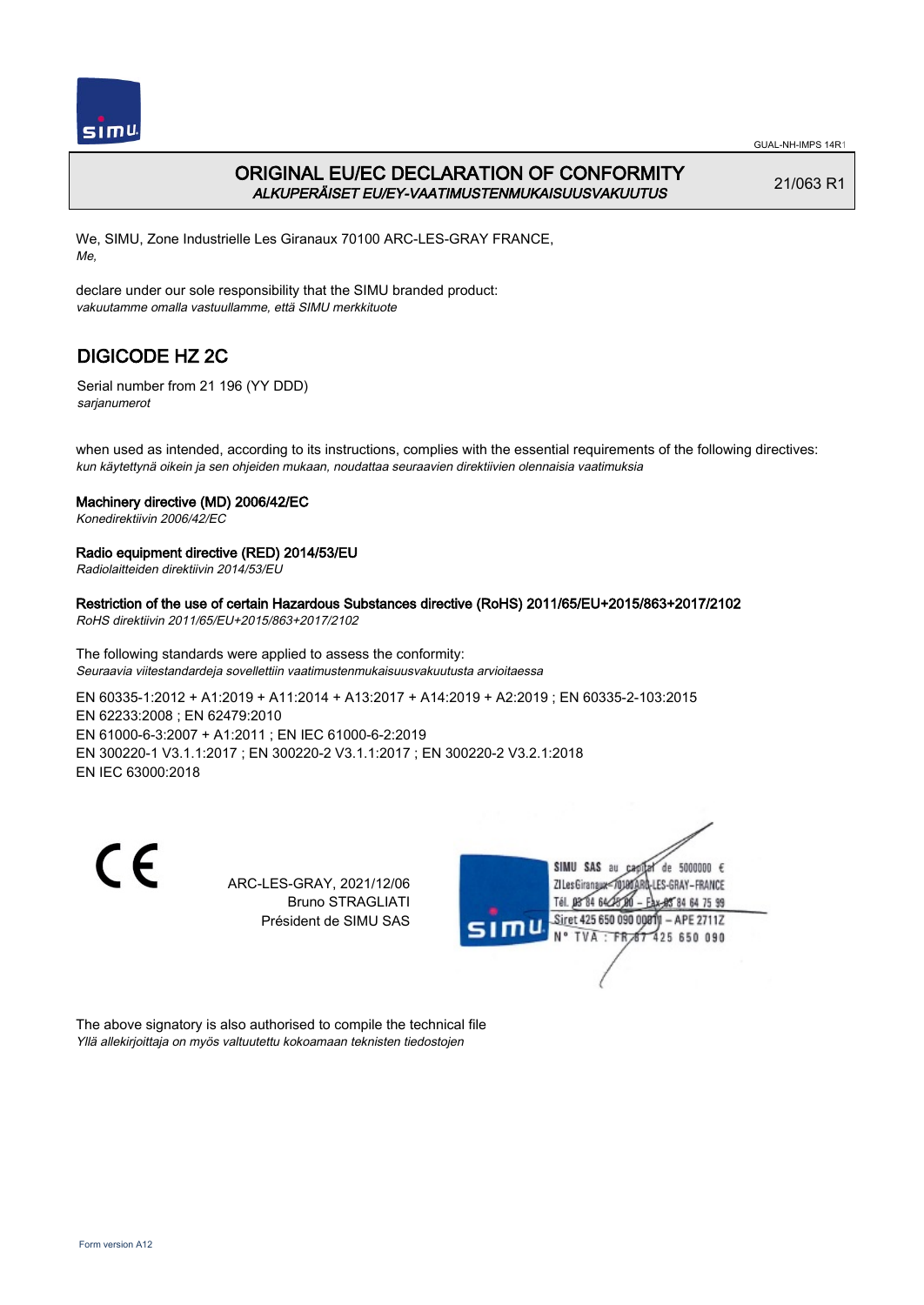

# ORIGINAL EU/EC DECLARATION OF CONFORMITY ALKUPERÄISET EU/EY-VAATIMUSTENMUKAISUUSVAKUUTUS

21/063 R1

We, SIMU, Zone Industrielle Les Giranaux 70100 ARC-LES-GRAY FRANCE, Me,

declare under our sole responsibility that the SIMU branded product: vakuutamme omalla vastuullamme, että SIMU merkkituote

# DIGICODE HZ 2C

Serial number from 21 196 (YY DDD) sarjanumerot

when used as intended, according to its instructions, complies with the essential requirements of the following directives: kun käytettynä oikein ja sen ohjeiden mukaan, noudattaa seuraavien direktiivien olennaisia vaatimuksia

## Machinery directive (MD) 2006/42/EC

Konedirektiivin 2006/42/EC

### Radio equipment directive (RED) 2014/53/EU

Radiolaitteiden direktiivin 2014/53/EU

Restriction of the use of certain Hazardous Substances directive (RoHS) 2011/65/EU+2015/863+2017/2102

RoHS direktiivin 2011/65/EU+2015/863+2017/2102

The following standards were applied to assess the conformity: Seuraavia viitestandardeja sovellettiin vaatimustenmukaisuusvakuutusta arvioitaessa

EN 60335‑1:2012 + A1:2019 + A11:2014 + A13:2017 + A14:2019 + A2:2019 ; EN 60335‑2‑103:2015 EN 62233:2008 ; EN 62479:2010 EN 61000‑6‑3:2007 + A1:2011 ; EN IEC 61000‑6‑2:2019 EN 300220‑1 V3.1.1:2017 ; EN 300220‑2 V3.1.1:2017 ; EN 300220‑2 V3.2.1:2018 EN IEC 63000:2018

 $\epsilon$ 

ARC-LES-GRAY, 2021/12/06 Bruno STRAGLIATI Président de SIMU SAS



The above signatory is also authorised to compile the technical file Yllä allekirjoittaja on myös valtuutettu kokoamaan teknisten tiedostojen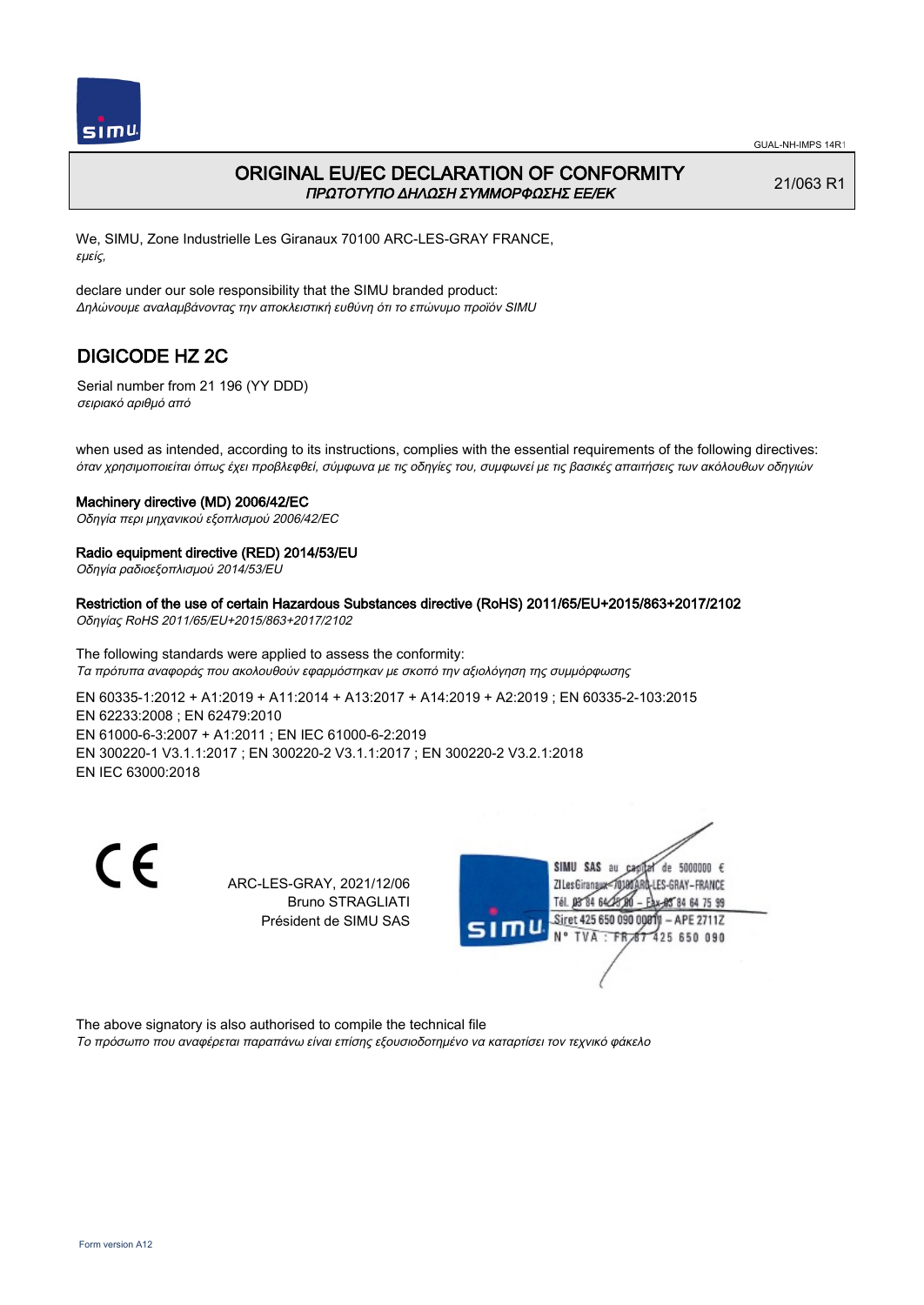

## ORIGINAL EU/EC DECLARATION OF CONFORMITY ΠΡΩΤΟΤΥΠΟ ΔΗΛΩΣΗ ΣΥΜΜΟΡΦΩΣΗΣ ΕΕ/EK

21/063 R1

We, SIMU, Zone Industrielle Les Giranaux 70100 ARC-LES-GRAY FRANCE, εμείς,

declare under our sole responsibility that the SIMU branded product: Δηλώνουμε αναλαμβάνοντας την αποκλειστική ευθύνη ότι το επώνυμο προϊόν SIMU

# DIGICODE HZ 2C

Serial number from 21 196 (YY DDD) σειριακό αριθμό από

when used as intended, according to its instructions, complies with the essential requirements of the following directives: όταν χρησιμοποιείται όπως έχει προβλεφθεί, σύμφωνα με τις οδηγίες του, συμφωνεί με τις βασικές απαιτήσεις των ακόλουθων οδηγιών

### Machinery directive (MD) 2006/42/EC

Οδηγία περι μηχανικού εξοπλισμού 2006/42/EC

### Radio equipment directive (RED) 2014/53/EU

Οδηγία ραδιοεξοπλισμού 2014/53/EU

# Restriction of the use of certain Hazardous Substances directive (RoHS) 2011/65/EU+2015/863+2017/2102

Οδηγίας RoHS 2011/65/EU+2015/863+2017/2102

The following standards were applied to assess the conformity: Τα πρότυπα αναφοράς που ακολουθούν εφαρμόστηκαν με σκοπό την αξιολόγηση της συμμόρφωσης

EN 60335‑1:2012 + A1:2019 + A11:2014 + A13:2017 + A14:2019 + A2:2019 ; EN 60335‑2‑103:2015 EN 62233:2008 ; EN 62479:2010 EN 61000‑6‑3:2007 + A1:2011 ; EN IEC 61000‑6‑2:2019 EN 300220‑1 V3.1.1:2017 ; EN 300220‑2 V3.1.1:2017 ; EN 300220‑2 V3.2.1:2018 EN IEC 63000:2018

C E

ARC-LES-GRAY, 2021/12/06 Bruno STRAGLIATI Président de SIMU SAS



The above signatory is also authorised to compile the technical file Το πρόσωπο που αναφέρεται παραπάνω είναι επίσης εξουσιοδοτημένο να καταρτίσει τον τεχνικό φάκελο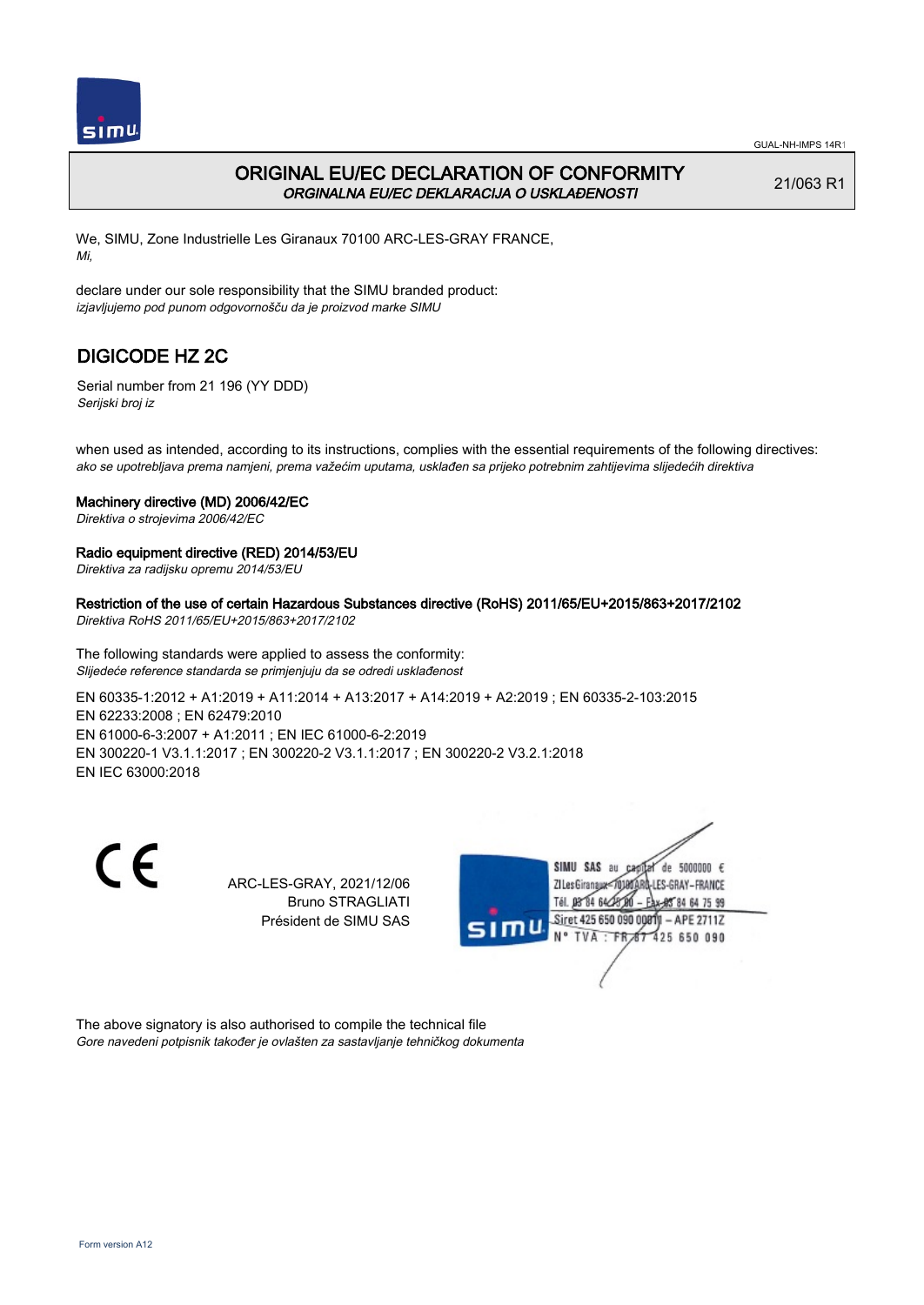

## ORIGINAL EU/EC DECLARATION OF CONFORMITY ORGINALNA EU/EC DEKLARACIJA O USKLAĐENOSTI

21/063 R1

We, SIMU, Zone Industrielle Les Giranaux 70100 ARC-LES-GRAY FRANCE, Mi,

declare under our sole responsibility that the SIMU branded product: izjavljujemo pod punom odgovornošču da je proizvod marke SIMU

# DIGICODE HZ 2C

Serial number from 21 196 (YY DDD) Serijski broj iz

when used as intended, according to its instructions, complies with the essential requirements of the following directives: ako se upotrebljava prema namjeni, prema važećim uputama, usklađen sa prijeko potrebnim zahtijevima slijedećih direktiva

#### Machinery directive (MD) 2006/42/EC

Direktiva o strojevima 2006/42/EC

### Radio equipment directive (RED) 2014/53/EU

Direktiva za radijsku opremu 2014/53/EU

Restriction of the use of certain Hazardous Substances directive (RoHS) 2011/65/EU+2015/863+2017/2102

Direktiva RoHS 2011/65/EU+2015/863+2017/2102

The following standards were applied to assess the conformity: Slijedeće reference standarda se primjenjuju da se odredi usklađenost

EN 60335‑1:2012 + A1:2019 + A11:2014 + A13:2017 + A14:2019 + A2:2019 ; EN 60335‑2‑103:2015 EN 62233:2008 ; EN 62479:2010 EN 61000‑6‑3:2007 + A1:2011 ; EN IEC 61000‑6‑2:2019 EN 300220‑1 V3.1.1:2017 ; EN 300220‑2 V3.1.1:2017 ; EN 300220‑2 V3.2.1:2018 EN IEC 63000:2018

C E

ARC-LES-GRAY, 2021/12/06 Bruno STRAGLIATI Président de SIMU SAS



The above signatory is also authorised to compile the technical file Gore navedeni potpisnik također je ovlašten za sastavljanje tehničkog dokumenta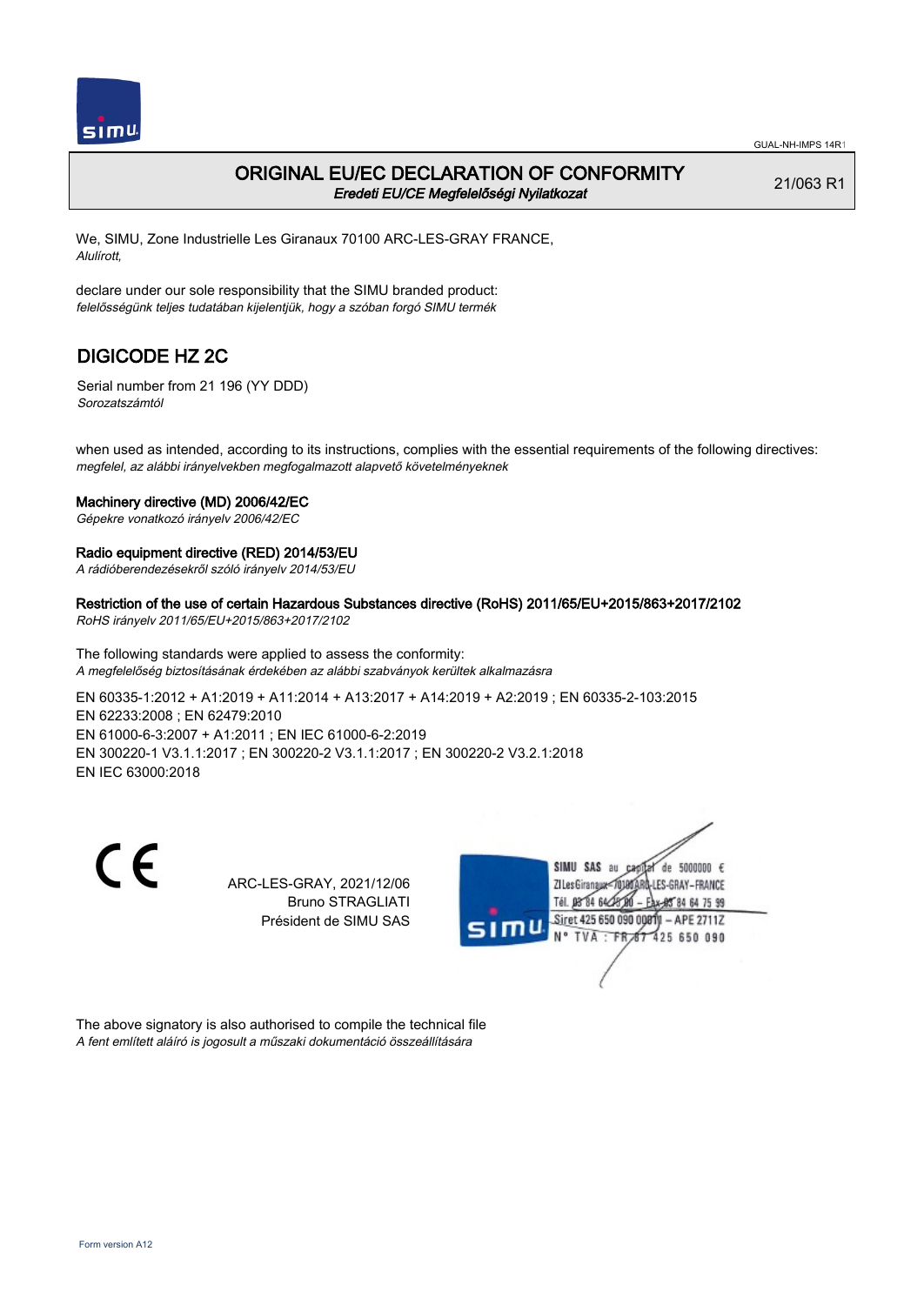

## ORIGINAL EU/EC DECLARATION OF CONFORMITY Eredeti EU/CE Megfelelőségi Nyilatkozat

21/063 R1

We, SIMU, Zone Industrielle Les Giranaux 70100 ARC-LES-GRAY FRANCE, Alulírott,

declare under our sole responsibility that the SIMU branded product: felelősségünk teljes tudatában kijelentjük, hogy a szóban forgó SIMU termék

# DIGICODE HZ 2C

Serial number from 21 196 (YY DDD) Sorozatszámtól

when used as intended, according to its instructions, complies with the essential requirements of the following directives: megfelel, az alábbi irányelvekben megfogalmazott alapvető követelményeknek

### Machinery directive (MD) 2006/42/EC

Gépekre vonatkozó irányelv 2006/42/EC

### Radio equipment directive (RED) 2014/53/EU

A rádióberendezésekről szóló irányelv 2014/53/EU

Restriction of the use of certain Hazardous Substances directive (RoHS) 2011/65/EU+2015/863+2017/2102

RoHS irányelv 2011/65/EU+2015/863+2017/2102

The following standards were applied to assess the conformity: A megfelelőség biztosításának érdekében az alábbi szabványok kerültek alkalmazásra

EN 60335‑1:2012 + A1:2019 + A11:2014 + A13:2017 + A14:2019 + A2:2019 ; EN 60335‑2‑103:2015 EN 62233:2008 ; EN 62479:2010 EN 61000‑6‑3:2007 + A1:2011 ; EN IEC 61000‑6‑2:2019 EN 300220‑1 V3.1.1:2017 ; EN 300220‑2 V3.1.1:2017 ; EN 300220‑2 V3.2.1:2018 EN IEC 63000:2018

C E

ARC-LES-GRAY, 2021/12/06 Bruno STRAGLIATI Président de SIMU SAS



The above signatory is also authorised to compile the technical file A fent említett aláíró is jogosult a műszaki dokumentáció összeállítására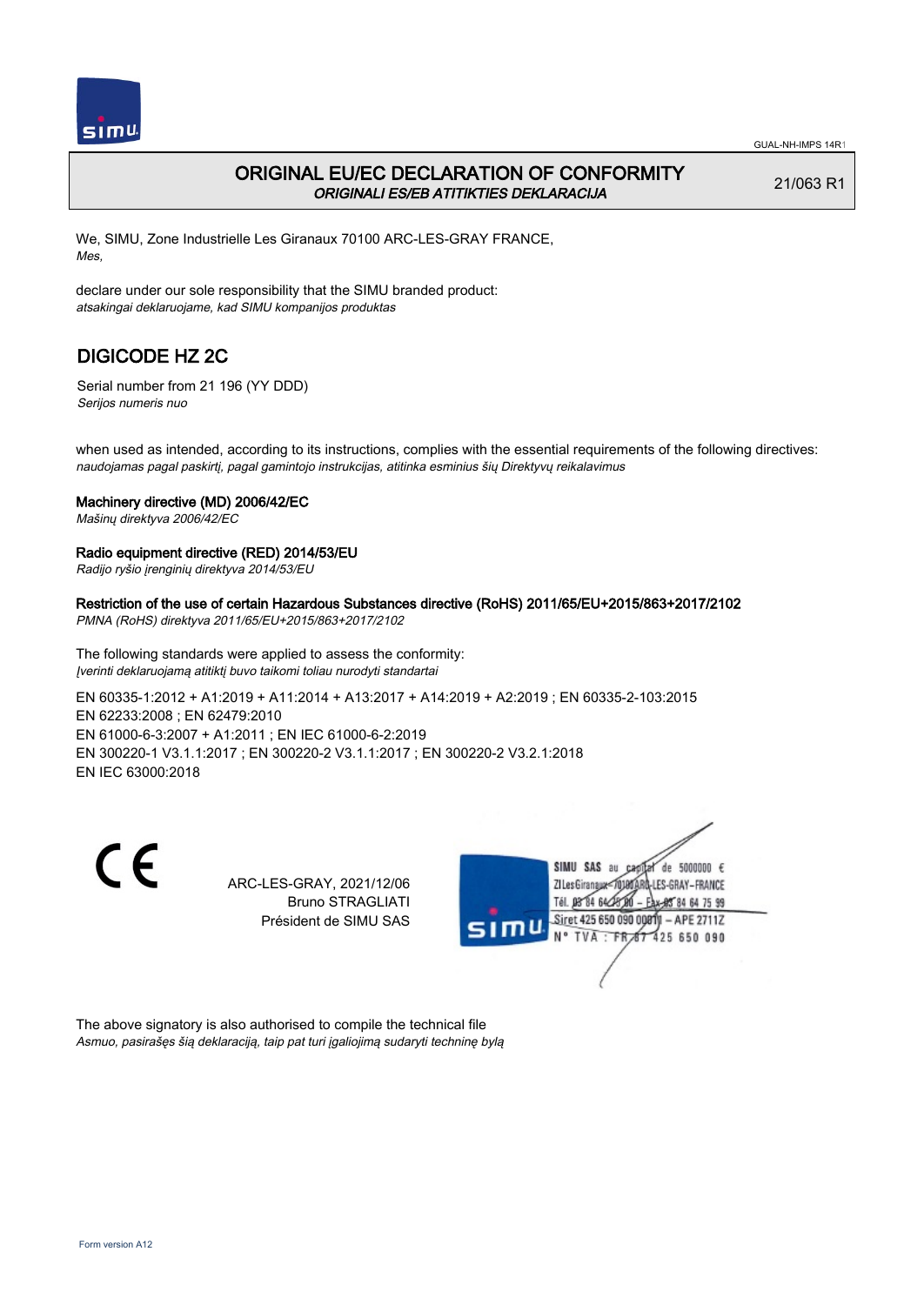

## ORIGINAL EU/EC DECLARATION OF CONFORMITY ORIGINALI ES/EB ATITIKTIES DEKLARACIJA

21/063 R1

We, SIMU, Zone Industrielle Les Giranaux 70100 ARC-LES-GRAY FRANCE, Mes,

declare under our sole responsibility that the SIMU branded product: atsakingai deklaruojame, kad SIMU kompanijos produktas

# DIGICODE HZ 2C

Serial number from 21 196 (YY DDD) Serijos numeris nuo

when used as intended, according to its instructions, complies with the essential requirements of the following directives: naudojamas pagal paskirtį, pagal gamintojo instrukcijas, atitinka esminius šių Direktyvų reikalavimus

### Machinery directive (MD) 2006/42/EC

Mašinų direktyva 2006/42/EC

### Radio equipment directive (RED) 2014/53/EU

Radijo ryšio įrenginių direktyva 2014/53/EU

## Restriction of the use of certain Hazardous Substances directive (RoHS) 2011/65/EU+2015/863+2017/2102

PMNA (RoHS) direktyva 2011/65/EU+2015/863+2017/2102

The following standards were applied to assess the conformity: Įverinti deklaruojamą atitiktį buvo taikomi toliau nurodyti standartai

EN 60335‑1:2012 + A1:2019 + A11:2014 + A13:2017 + A14:2019 + A2:2019 ; EN 60335‑2‑103:2015 EN 62233:2008 ; EN 62479:2010 EN 61000‑6‑3:2007 + A1:2011 ; EN IEC 61000‑6‑2:2019 EN 300220‑1 V3.1.1:2017 ; EN 300220‑2 V3.1.1:2017 ; EN 300220‑2 V3.2.1:2018 EN IEC 63000:2018

C E

ARC-LES-GRAY, 2021/12/06 Bruno STRAGLIATI Président de SIMU SAS



The above signatory is also authorised to compile the technical file Asmuo, pasirašęs šią deklaraciją, taip pat turi įgaliojimą sudaryti techninę bylą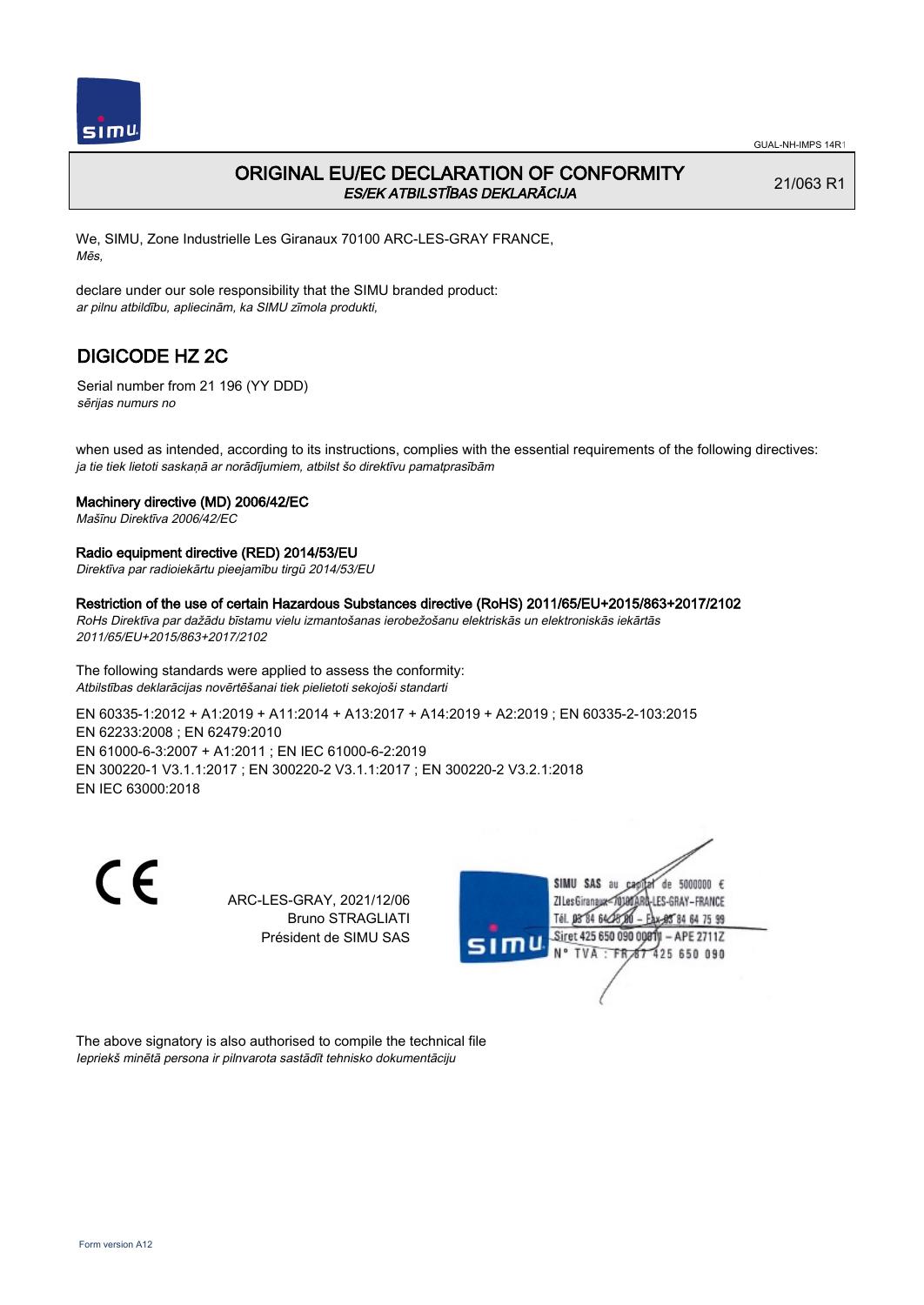

# ORIGINAL EU/EC DECLARATION OF CONFORMITY ES/EK ATBILSTĪBAS DEKLARĀCIJA

21/063 R1

We, SIMU, Zone Industrielle Les Giranaux 70100 ARC-LES-GRAY FRANCE, Mēs,

declare under our sole responsibility that the SIMU branded product: ar pilnu atbildību, apliecinām, ka SIMU zīmola produkti,

# DIGICODE HZ 2C

Serial number from 21 196 (YY DDD) sērijas numurs no

when used as intended, according to its instructions, complies with the essential requirements of the following directives: ja tie tiek lietoti saskaņā ar norādījumiem, atbilst šo direktīvu pamatprasībām

## Machinery directive (MD) 2006/42/EC

Mašīnu Direktīva 2006/42/EC

### Radio equipment directive (RED) 2014/53/EU

Direktīva par radioiekārtu pieejamību tirgū 2014/53/EU

#### Restriction of the use of certain Hazardous Substances directive (RoHS) 2011/65/EU+2015/863+2017/2102

RoHs Direktīva par dažādu bīstamu vielu izmantošanas ierobežošanu elektriskās un elektroniskās iekārtās 2011/65/EU+2015/863+2017/2102

The following standards were applied to assess the conformity: Atbilstības deklarācijas novērtēšanai tiek pielietoti sekojoši standarti

EN 60335‑1:2012 + A1:2019 + A11:2014 + A13:2017 + A14:2019 + A2:2019 ; EN 60335‑2‑103:2015 EN 62233:2008 ; EN 62479:2010 EN 61000‑6‑3:2007 + A1:2011 ; EN IEC 61000‑6‑2:2019 EN 300220‑1 V3.1.1:2017 ; EN 300220‑2 V3.1.1:2017 ; EN 300220‑2 V3.2.1:2018 EN IEC 63000:2018

CE

ARC-LES-GRAY, 2021/12/06 Bruno STRAGLIATI Président de SIMU SAS



The above signatory is also authorised to compile the technical file Iepriekš minētā persona ir pilnvarota sastādīt tehnisko dokumentāciju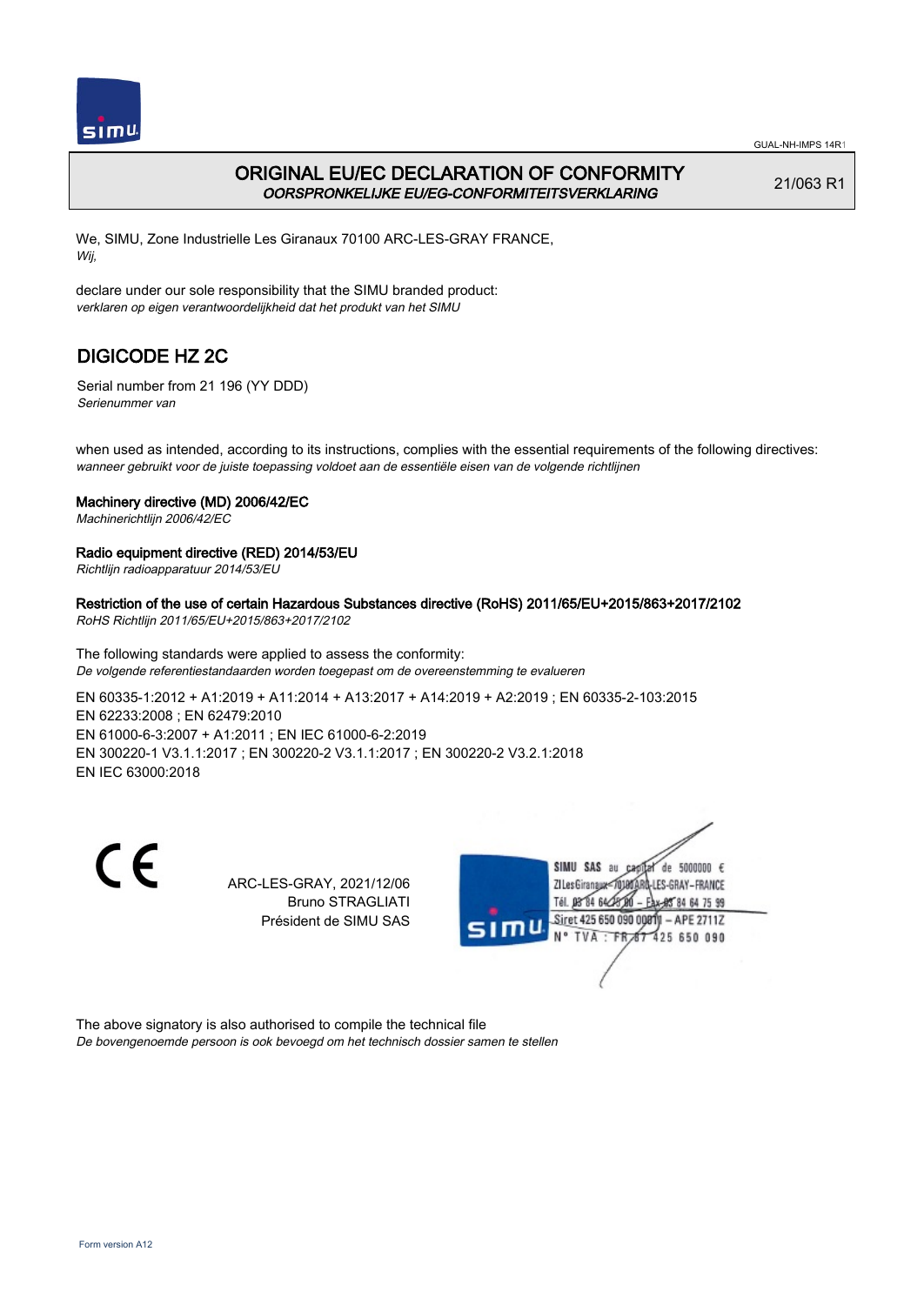

# ORIGINAL EU/EC DECLARATION OF CONFORMITY OORSPRONKELIJKE EU/EG-CONFORMITEITSVERKLARING

21/063 R1

We, SIMU, Zone Industrielle Les Giranaux 70100 ARC-LES-GRAY FRANCE, Wij,

declare under our sole responsibility that the SIMU branded product: verklaren op eigen verantwoordelijkheid dat het produkt van het SIMU

# DIGICODE HZ 2C

Serial number from 21 196 (YY DDD) Serienummer van

when used as intended, according to its instructions, complies with the essential requirements of the following directives: wanneer gebruikt voor de juiste toepassing voldoet aan de essentiële eisen van de volgende richtlijnen

## Machinery directive (MD) 2006/42/EC

Machinerichtlijn 2006/42/EC

## Radio equipment directive (RED) 2014/53/EU

Richtlijn radioapparatuur 2014/53/EU

## Restriction of the use of certain Hazardous Substances directive (RoHS) 2011/65/EU+2015/863+2017/2102

RoHS Richtlijn 2011/65/EU+2015/863+2017/2102

The following standards were applied to assess the conformity: De volgende referentiestandaarden worden toegepast om de overeenstemming te evalueren

EN 60335‑1:2012 + A1:2019 + A11:2014 + A13:2017 + A14:2019 + A2:2019 ; EN 60335‑2‑103:2015 EN 62233:2008 ; EN 62479:2010 EN 61000‑6‑3:2007 + A1:2011 ; EN IEC 61000‑6‑2:2019 EN 300220‑1 V3.1.1:2017 ; EN 300220‑2 V3.1.1:2017 ; EN 300220‑2 V3.2.1:2018 EN IEC 63000:2018

CE

ARC-LES-GRAY, 2021/12/06 Bruno STRAGLIATI Président de SIMU SAS



The above signatory is also authorised to compile the technical file De bovengenoemde persoon is ook bevoegd om het technisch dossier samen te stellen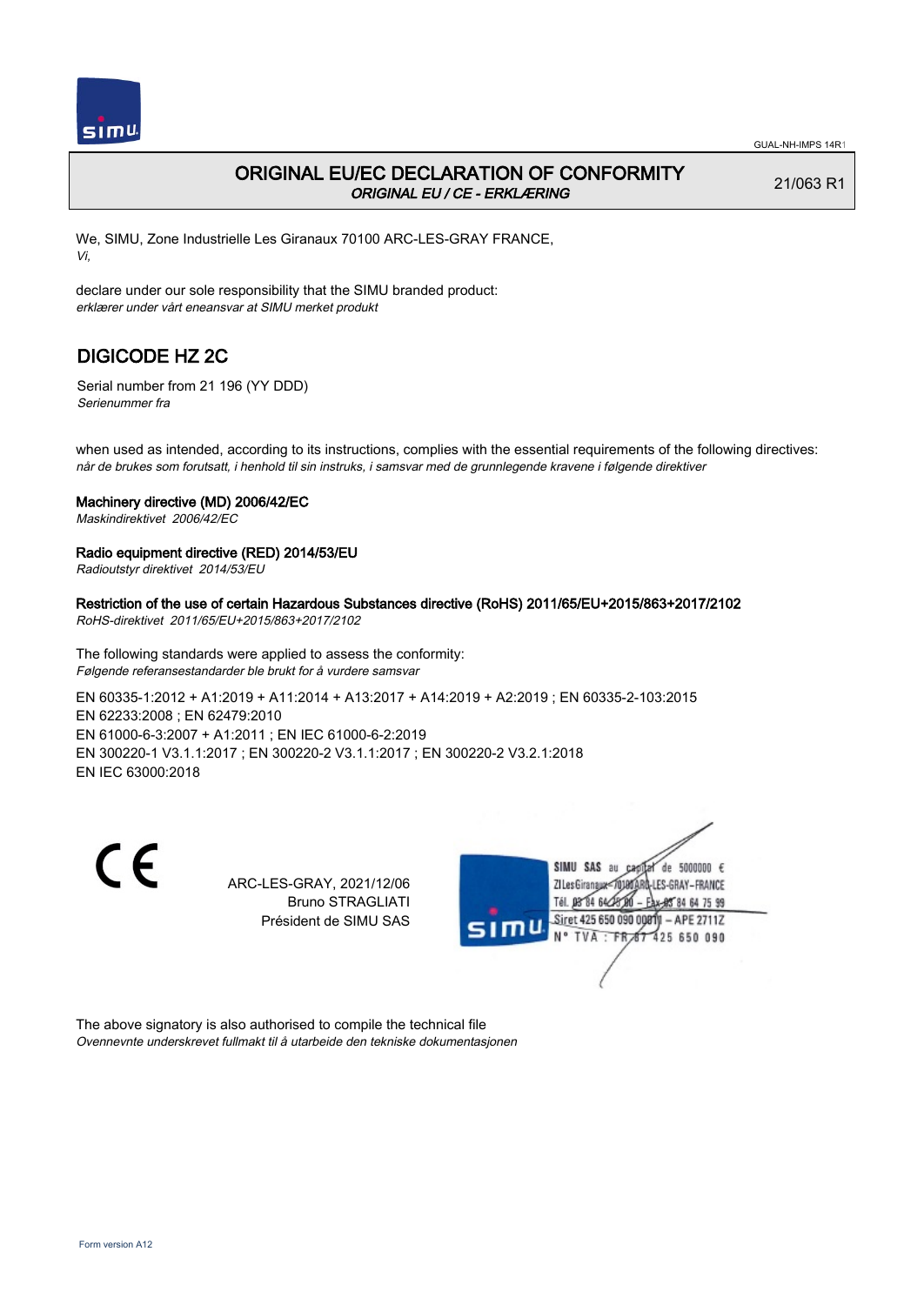

# ORIGINAL EU/EC DECLARATION OF CONFORMITY ORIGINAL EU / CE - ERKLÆRING

21/063 R1

We, SIMU, Zone Industrielle Les Giranaux 70100 ARC-LES-GRAY FRANCE, Vi,

declare under our sole responsibility that the SIMU branded product: erklærer under vårt eneansvar at SIMU merket produkt

# DIGICODE HZ 2C

Serial number from 21 196 (YY DDD) Serienummer fra

when used as intended, according to its instructions, complies with the essential requirements of the following directives: når de brukes som forutsatt, i henhold til sin instruks, i samsvar med de grunnlegende kravene i følgende direktiver

### Machinery directive (MD) 2006/42/EC

Maskindirektivet 2006/42/EC

### Radio equipment directive (RED) 2014/53/EU

Radioutstyr direktivet 2014/53/EU

Restriction of the use of certain Hazardous Substances directive (RoHS) 2011/65/EU+2015/863+2017/2102

RoHS-direktivet 2011/65/EU+2015/863+2017/2102

The following standards were applied to assess the conformity: Følgende referansestandarder ble brukt for å vurdere samsvar

EN 60335‑1:2012 + A1:2019 + A11:2014 + A13:2017 + A14:2019 + A2:2019 ; EN 60335‑2‑103:2015 EN 62233:2008 ; EN 62479:2010 EN 61000‑6‑3:2007 + A1:2011 ; EN IEC 61000‑6‑2:2019 EN 300220‑1 V3.1.1:2017 ; EN 300220‑2 V3.1.1:2017 ; EN 300220‑2 V3.2.1:2018 EN IEC 63000:2018

 $\epsilon$ 

ARC-LES-GRAY, 2021/12/06 Bruno STRAGLIATI Président de SIMU SAS



The above signatory is also authorised to compile the technical file Ovennevnte underskrevet fullmakt til å utarbeide den tekniske dokumentasjonen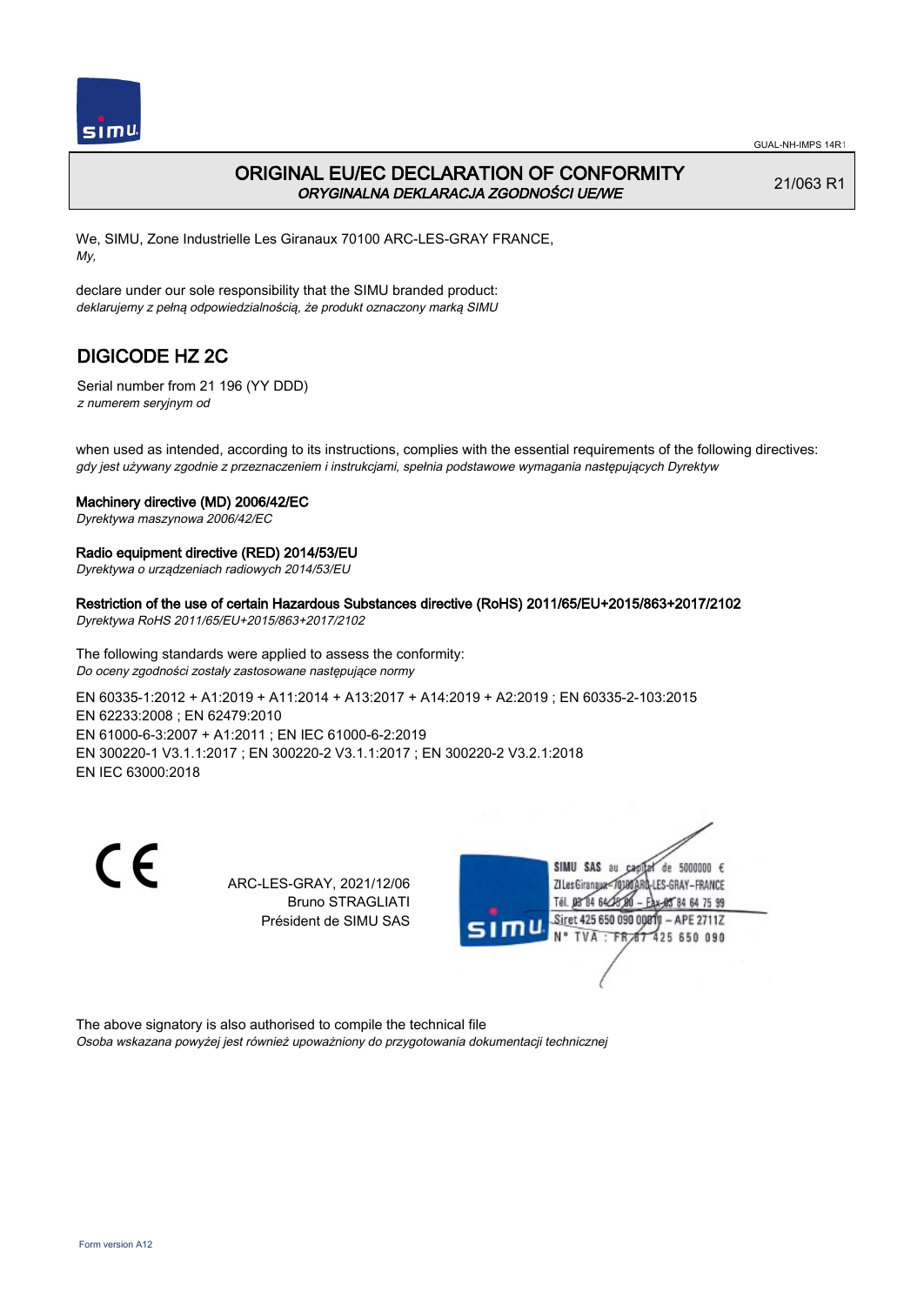

# ORIGINAL EU/EC DECLARATION OF CONFORMITY ORYGINALNA DEKLARACJA ZGODNOŚCI UE/WE

21/063 R1

We, SIMU, Zone Industrielle Les Giranaux 70100 ARC-LES-GRAY FRANCE, My,

declare under our sole responsibility that the SIMU branded product: deklarujemy z pełną odpowiedzialnością, że produkt oznaczony marką SIMU

# DIGICODE HZ 2C

Serial number from 21 196 (YY DDD) z numerem seryjnym od

when used as intended, according to its instructions, complies with the essential requirements of the following directives: gdy jest używany zgodnie z przeznaczeniem i instrukcjami, spełnia podstawowe wymagania następujących Dyrektyw

### Machinery directive (MD) 2006/42/EC

Dyrektywa maszynowa 2006/42/EC

### Radio equipment directive (RED) 2014/53/EU

Dyrektywa o urządzeniach radiowych 2014/53/EU

### Restriction of the use of certain Hazardous Substances directive (RoHS) 2011/65/EU+2015/863+2017/2102

Dyrektywa RoHS 2011/65/EU+2015/863+2017/2102

The following standards were applied to assess the conformity: Do oceny zgodności zostały zastosowane następujące normy

EN 60335‑1:2012 + A1:2019 + A11:2014 + A13:2017 + A14:2019 + A2:2019 ; EN 60335‑2‑103:2015 EN 62233:2008 ; EN 62479:2010 EN 61000‑6‑3:2007 + A1:2011 ; EN IEC 61000‑6‑2:2019 EN 300220‑1 V3.1.1:2017 ; EN 300220‑2 V3.1.1:2017 ; EN 300220‑2 V3.2.1:2018 EN IEC 63000:2018

C E

ARC-LES-GRAY, 2021/12/06 Bruno STRAGLIATI Président de SIMU SAS



The above signatory is also authorised to compile the technical file Osoba wskazana powyżej jest również upoważniony do przygotowania dokumentacji technicznej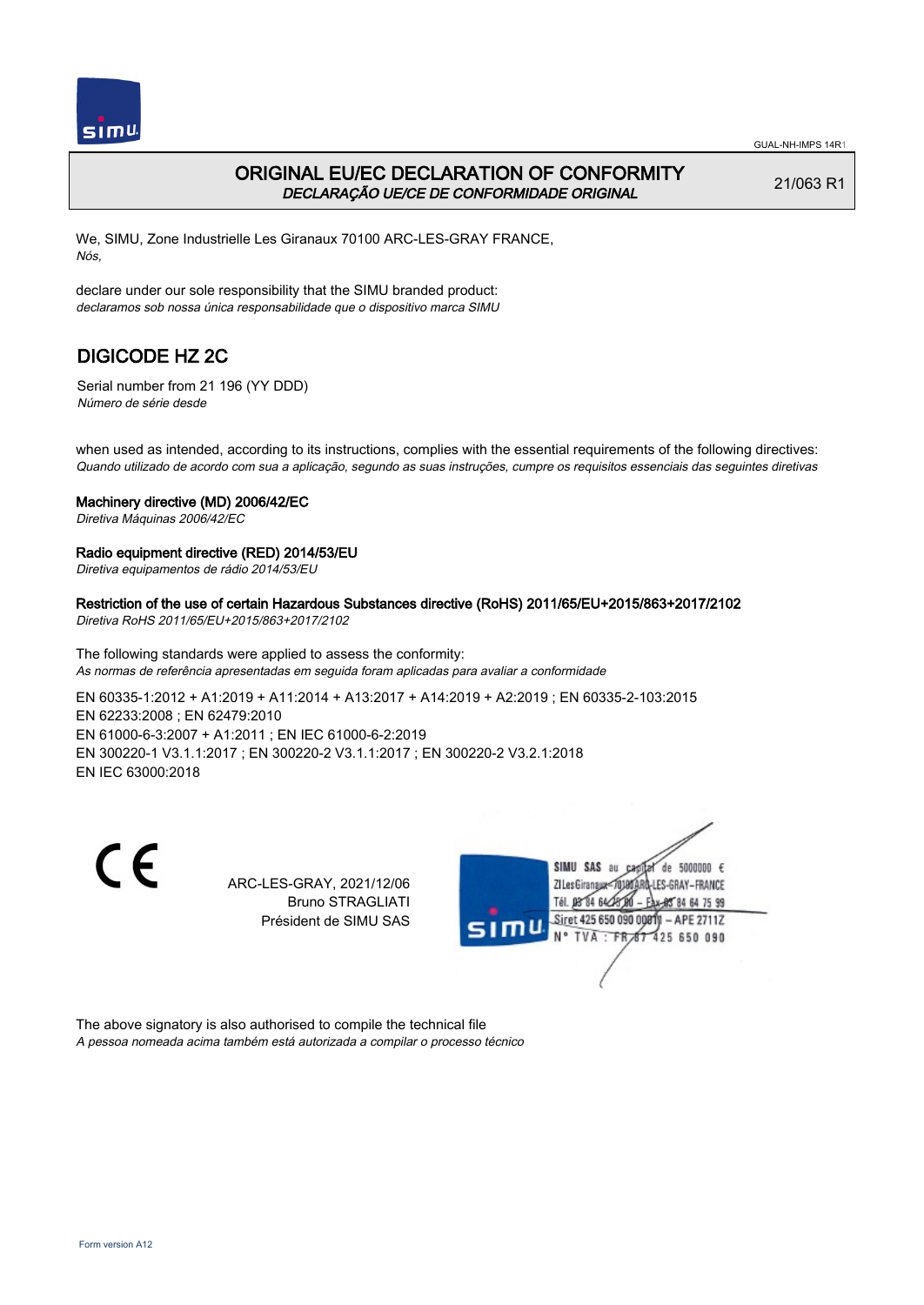

## ORIGINAL EU/EC DECLARATION OF CONFORMITY DECLARAÇÃO UE/CE DE CONFORMIDADE ORIGINAL

21/063 R1

We, SIMU, Zone Industrielle Les Giranaux 70100 ARC-LES-GRAY FRANCE, Nós,

declare under our sole responsibility that the SIMU branded product: declaramos sob nossa única responsabilidade que o dispositivo marca SIMU

# DIGICODE HZ 2C

Serial number from 21 196 (YY DDD) Número de série desde

when used as intended, according to its instructions, complies with the essential requirements of the following directives: Quando utilizado de acordo com sua a aplicação, segundo as suas instruções, cumpre os requisitos essenciais das seguintes diretivas

### Machinery directive (MD) 2006/42/EC

Diretiva Máquinas 2006/42/EC

### Radio equipment directive (RED) 2014/53/EU

Diretiva equipamentos de rádio 2014/53/EU

## Restriction of the use of certain Hazardous Substances directive (RoHS) 2011/65/EU+2015/863+2017/2102

Diretiva RoHS 2011/65/EU+2015/863+2017/2102

The following standards were applied to assess the conformity: As normas de referência apresentadas em seguida foram aplicadas para avaliar a conformidade

EN 60335‑1:2012 + A1:2019 + A11:2014 + A13:2017 + A14:2019 + A2:2019 ; EN 60335‑2‑103:2015 EN 62233:2008 ; EN 62479:2010 EN 61000‑6‑3:2007 + A1:2011 ; EN IEC 61000‑6‑2:2019 EN 300220‑1 V3.1.1:2017 ; EN 300220‑2 V3.1.1:2017 ; EN 300220‑2 V3.2.1:2018 EN IEC 63000:2018

C E

ARC-LES-GRAY, 2021/12/06 Bruno STRAGLIATI Président de SIMU SAS



The above signatory is also authorised to compile the technical file A pessoa nomeada acima também está autorizada a compilar o processo técnico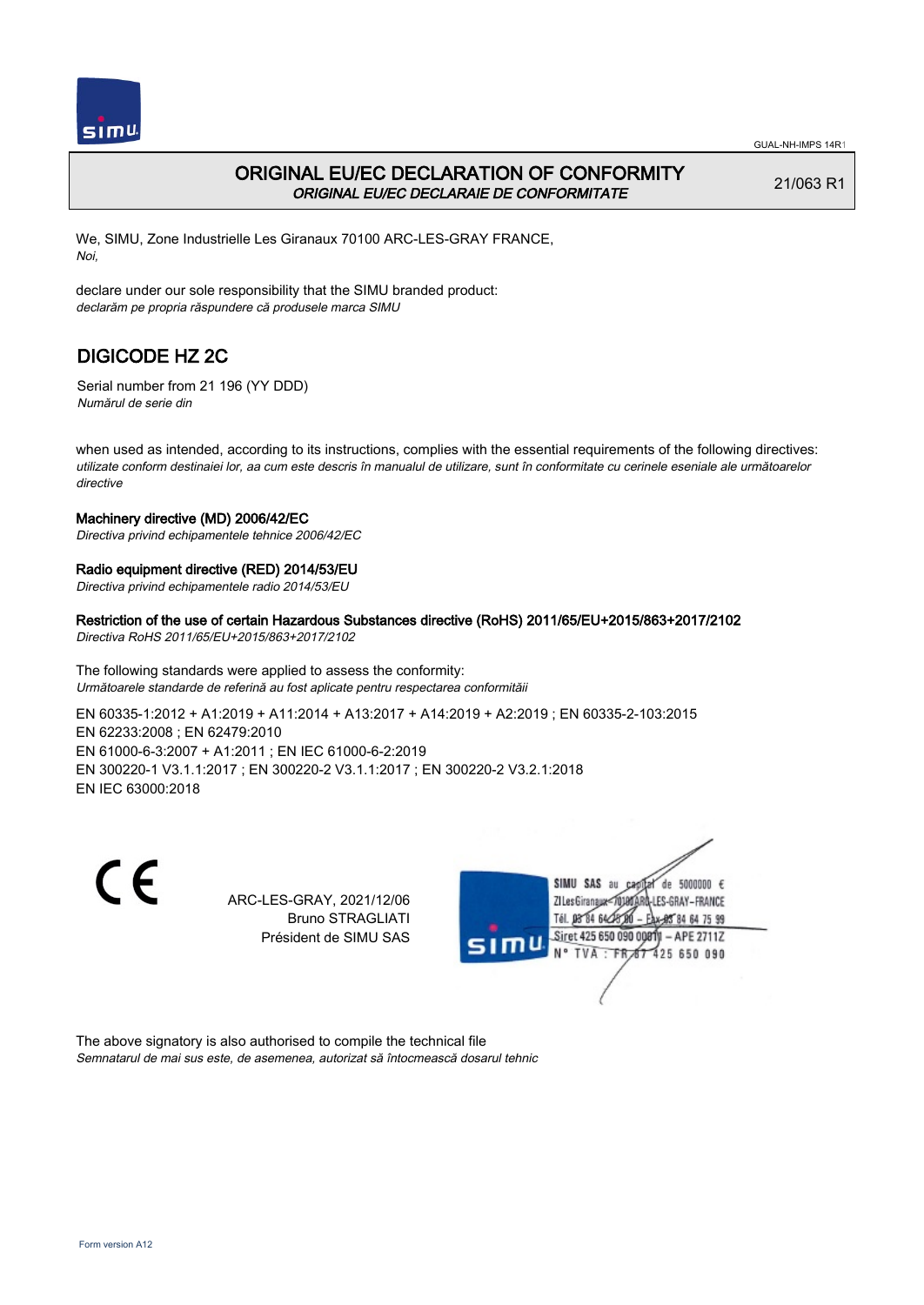

# ORIGINAL EU/EC DECLARATION OF CONFORMITY ORIGINAL EU/EC DECLARAIE DE CONFORMITATE

21/063 R1

We, SIMU, Zone Industrielle Les Giranaux 70100 ARC-LES-GRAY FRANCE, Noi,

declare under our sole responsibility that the SIMU branded product: declarăm pe propria răspundere că produsele marca SIMU

# DIGICODE HZ 2C

Serial number from 21 196 (YY DDD) Numărul de serie din

when used as intended, according to its instructions, complies with the essential requirements of the following directives: utilizate conform destinaiei lor, aa cum este descris în manualul de utilizare, sunt în conformitate cu cerinele eseniale ale următoarelor directive

## Machinery directive (MD) 2006/42/EC

Directiva privind echipamentele tehnice 2006/42/EC

## Radio equipment directive (RED) 2014/53/EU

Directiva privind echipamentele radio 2014/53/EU

### Restriction of the use of certain Hazardous Substances directive (RoHS) 2011/65/EU+2015/863+2017/2102

Directiva RoHS 2011/65/EU+2015/863+2017/2102

The following standards were applied to assess the conformity: Următoarele standarde de referină au fost aplicate pentru respectarea conformităii

EN 60335‑1:2012 + A1:2019 + A11:2014 + A13:2017 + A14:2019 + A2:2019 ; EN 60335‑2‑103:2015 EN 62233:2008 ; EN 62479:2010 EN 61000‑6‑3:2007 + A1:2011 ; EN IEC 61000‑6‑2:2019 EN 300220‑1 V3.1.1:2017 ; EN 300220‑2 V3.1.1:2017 ; EN 300220‑2 V3.2.1:2018 EN IEC 63000:2018

CE

ARC-LES-GRAY, 2021/12/06 Bruno STRAGLIATI Président de SIMU SAS



The above signatory is also authorised to compile the technical file Semnatarul de mai sus este, de asemenea, autorizat să întocmească dosarul tehnic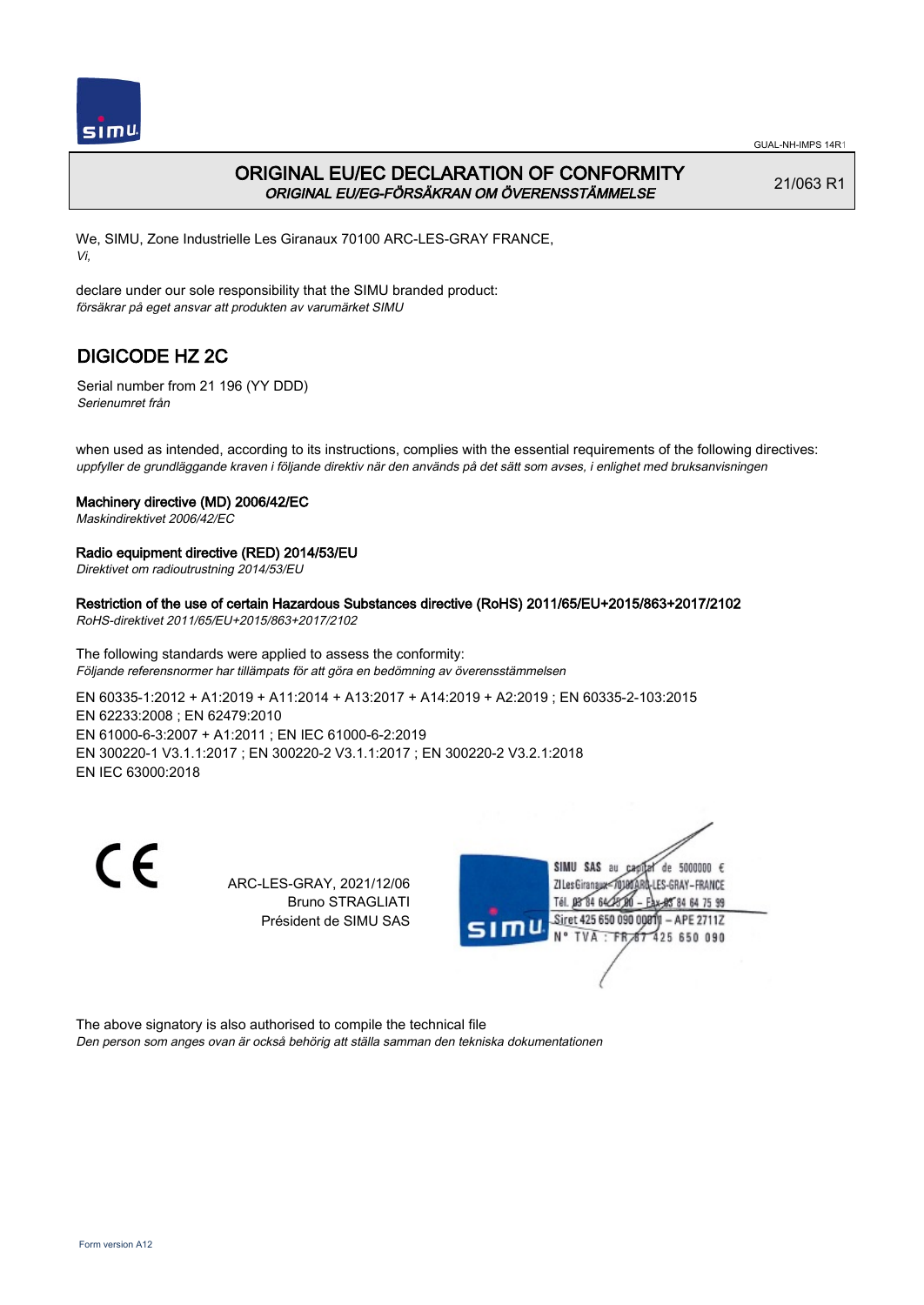

# ORIGINAL EU/EC DECLARATION OF CONFORMITY ORIGINAL EU/EG-FÖRSÄKRAN OM ÖVERENSSTÄMMELSE

21/063 R1

We, SIMU, Zone Industrielle Les Giranaux 70100 ARC-LES-GRAY FRANCE, Vi,

declare under our sole responsibility that the SIMU branded product: försäkrar på eget ansvar att produkten av varumärket SIMU

# DIGICODE HZ 2C

Serial number from 21 196 (YY DDD) Serienumret från

when used as intended, according to its instructions, complies with the essential requirements of the following directives: uppfyller de grundläggande kraven i följande direktiv när den används på det sätt som avses, i enlighet med bruksanvisningen

## Machinery directive (MD) 2006/42/EC

Maskindirektivet 2006/42/EC

## Radio equipment directive (RED) 2014/53/EU

Direktivet om radioutrustning 2014/53/EU

# Restriction of the use of certain Hazardous Substances directive (RoHS) 2011/65/EU+2015/863+2017/2102

RoHS-direktivet 2011/65/EU+2015/863+2017/2102

The following standards were applied to assess the conformity: Följande referensnormer har tillämpats för att göra en bedömning av överensstämmelsen

EN 60335‑1:2012 + A1:2019 + A11:2014 + A13:2017 + A14:2019 + A2:2019 ; EN 60335‑2‑103:2015 EN 62233:2008 ; EN 62479:2010 EN 61000‑6‑3:2007 + A1:2011 ; EN IEC 61000‑6‑2:2019 EN 300220‑1 V3.1.1:2017 ; EN 300220‑2 V3.1.1:2017 ; EN 300220‑2 V3.2.1:2018 EN IEC 63000:2018

CE

ARC-LES-GRAY, 2021/12/06 Bruno STRAGLIATI Président de SIMU SAS



The above signatory is also authorised to compile the technical file Den person som anges ovan är också behörig att ställa samman den tekniska dokumentationen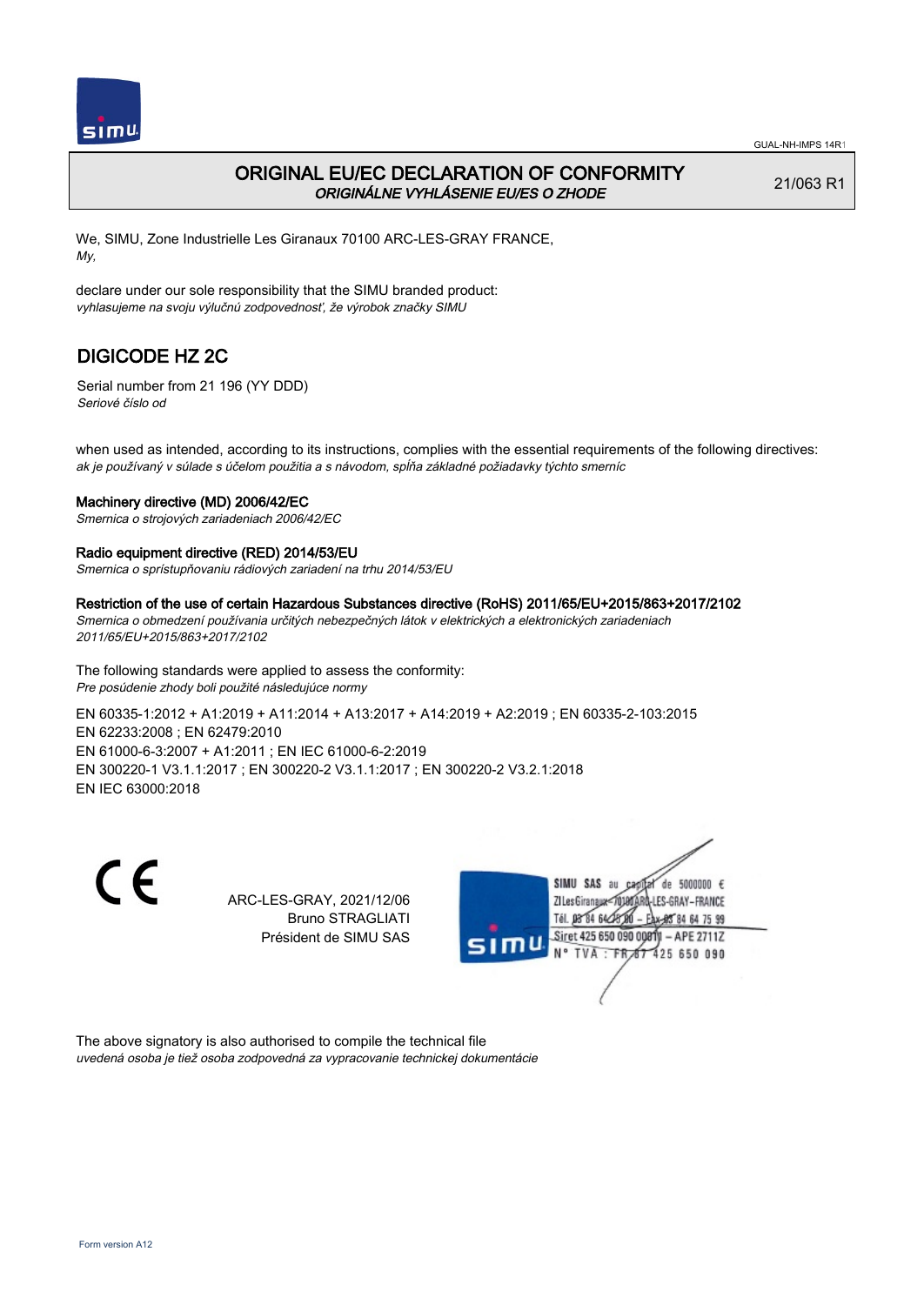

## ORIGINAL EU/EC DECLARATION OF CONFORMITY ORIGINÁLNE VYHLÁSENIE EU/ES O ZHODE

21/063 R1

We, SIMU, Zone Industrielle Les Giranaux 70100 ARC-LES-GRAY FRANCE, My,

declare under our sole responsibility that the SIMU branded product: vyhlasujeme na svoju výlučnú zodpovednosť, že výrobok značky SIMU

# DIGICODE HZ 2C

Serial number from 21 196 (YY DDD) Seriové číslo od

when used as intended, according to its instructions, complies with the essential requirements of the following directives: ak je používaný v súlade s účelom použitia a s návodom, spĺňa základné požiadavky týchto smerníc

#### Machinery directive (MD) 2006/42/EC

Smernica o strojových zariadeniach 2006/42/EC

### Radio equipment directive (RED) 2014/53/EU

Smernica o sprístupňovaniu rádiových zariadení na trhu 2014/53/EU

#### Restriction of the use of certain Hazardous Substances directive (RoHS) 2011/65/EU+2015/863+2017/2102

Smernica o obmedzení používania určitých nebezpečných látok v elektrických a elektronických zariadeniach 2011/65/EU+2015/863+2017/2102

The following standards were applied to assess the conformity: Pre posúdenie zhody boli použité následujúce normy

EN 60335‑1:2012 + A1:2019 + A11:2014 + A13:2017 + A14:2019 + A2:2019 ; EN 60335‑2‑103:2015 EN 62233:2008 ; EN 62479:2010 EN 61000‑6‑3:2007 + A1:2011 ; EN IEC 61000‑6‑2:2019 EN 300220‑1 V3.1.1:2017 ; EN 300220‑2 V3.1.1:2017 ; EN 300220‑2 V3.2.1:2018 EN IEC 63000:2018

CE

ARC-LES-GRAY, 2021/12/06 Bruno STRAGLIATI Président de SIMU SAS



The above signatory is also authorised to compile the technical file uvedená osoba je tiež osoba zodpovedná za vypracovanie technickej dokumentácie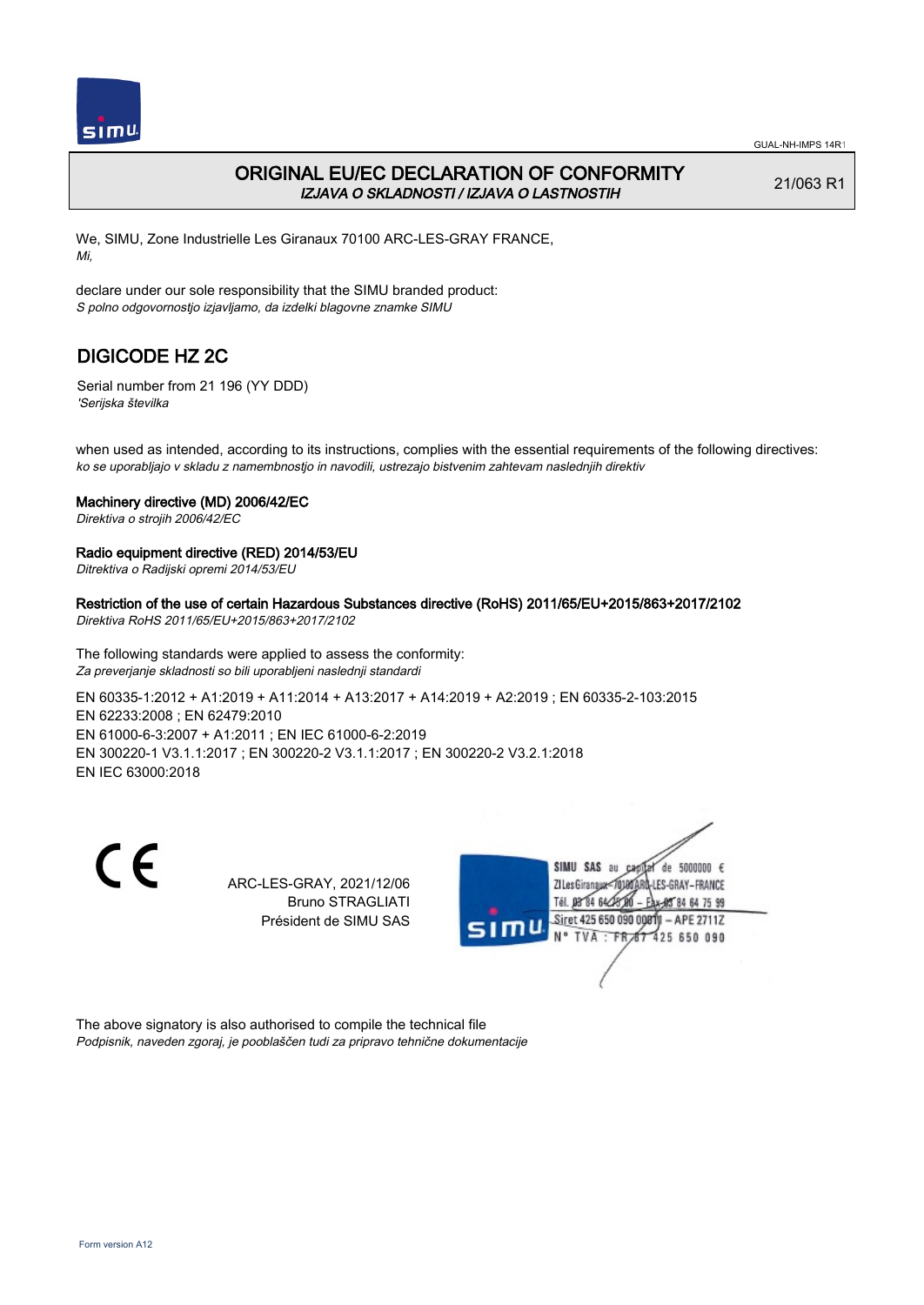

# ORIGINAL EU/EC DECLARATION OF CONFORMITY IZJAVA O SKLADNOSTI / IZJAVA O LASTNOSTIH

21/063 R1

We, SIMU, Zone Industrielle Les Giranaux 70100 ARC-LES-GRAY FRANCE, Mi,

declare under our sole responsibility that the SIMU branded product: S polno odgovornostjo izjavljamo, da izdelki blagovne znamke SIMU

# DIGICODE HZ 2C

Serial number from 21 196 (YY DDD) 'Serijska številka

when used as intended, according to its instructions, complies with the essential requirements of the following directives: ko se uporabljajo v skladu z namembnostjo in navodili, ustrezajo bistvenim zahtevam naslednjih direktiv

### Machinery directive (MD) 2006/42/EC

Direktiva o strojih 2006/42/EC

### Radio equipment directive (RED) 2014/53/EU

Ditrektiva o Radijski opremi 2014/53/EU

Restriction of the use of certain Hazardous Substances directive (RoHS) 2011/65/EU+2015/863+2017/2102

Direktiva RoHS 2011/65/EU+2015/863+2017/2102

The following standards were applied to assess the conformity: Za preverjanje skladnosti so bili uporabljeni naslednji standardi

EN 60335‑1:2012 + A1:2019 + A11:2014 + A13:2017 + A14:2019 + A2:2019 ; EN 60335‑2‑103:2015 EN 62233:2008 ; EN 62479:2010 EN 61000‑6‑3:2007 + A1:2011 ; EN IEC 61000‑6‑2:2019 EN 300220‑1 V3.1.1:2017 ; EN 300220‑2 V3.1.1:2017 ; EN 300220‑2 V3.2.1:2018 EN IEC 63000:2018

C E

ARC-LES-GRAY, 2021/12/06 Bruno STRAGLIATI Président de SIMU SAS



The above signatory is also authorised to compile the technical file Podpisnik, naveden zgoraj, je pooblaščen tudi za pripravo tehnične dokumentacije